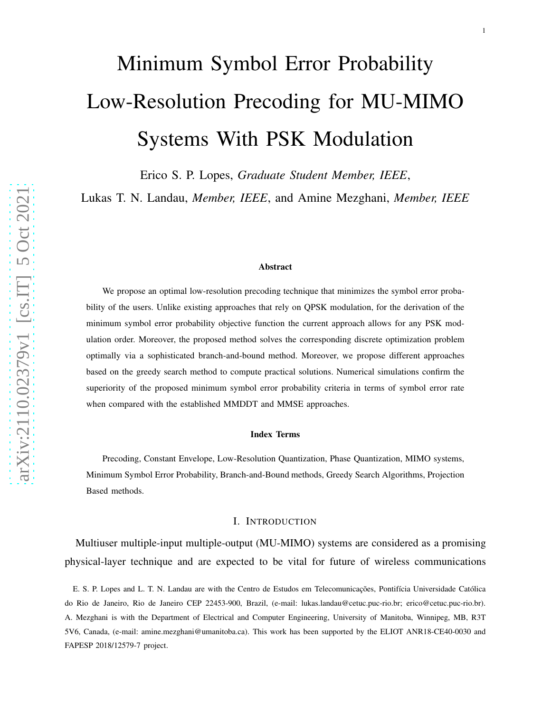# Minimum Symbol Error Probability Low-Resolution Precoding for MU-MIMO Systems With PSK Modulation

Erico S. P. Lopes, *Graduate Student Member, IEEE* ,

Lukas T. N. Landau, *Member, IEEE*, and Amine Mezghani, *Member, IEEE*

#### Abstract

We propose an optimal low-resolution precoding technique that minimizes the symbol error probability of the users. Unlike existing approaches that rely on QPSK modulation, for the derivation of the minimum symbol error probability objective function the current approach allows for any PSK modulation order. Moreover, the proposed method solves the corresponding discrete optimization problem optimally via a sophisticated branch-and-bound method. Moreover, we propose different approaches based on the greedy search method to compute practical solutions. Numerical simulations confirm the superiority of the proposed minimum symbol error probability criteria in terms of symbol error rate when compared with the established MMDDT and MMSE approaches.

#### Index Terms

Precoding, Constant Envelope, Low-Resolution Quantization, Phase Quantization, MIMO systems, Minimum Symbol Error Probability, Branch-and-Bound methods, Greedy Search Algorithms, Projection Based methods.

#### I. INTRODUCTION

Multiuser multiple-input multiple-output (MU-MIMO) systems are considered as a promising physical-layer technique and are expected to be vital for future of wireless communications

E. S. P. Lopes and L. T. N. Landau are with the Centro de Estudos em Telecomunicações, Pontifícia Universidade Católica do Rio de Janeiro, Rio de Janeiro CEP 22453-900, Brazil, (e-mail: lukas.landau@cetuc.puc-rio.br; erico@cetuc.puc-rio.br). A. Mezghani is with the Department of Electrical and Computer Engineering, University of Manitoba, Winnipeg, MB, R3T 5V6, Canada, (e-mail: amine.mezghani@umanitoba.ca). This work has been supported by the ELIOT ANR18-CE40-0030 and FAPESP 2018/12579-7 project.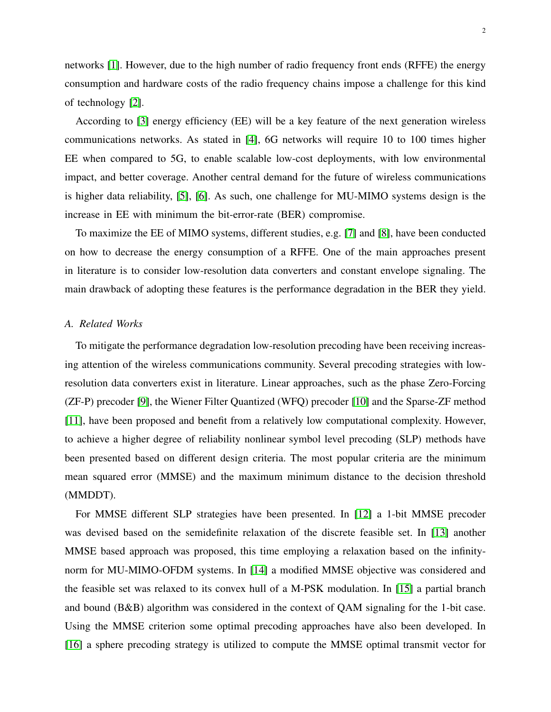networks [\[1\]](#page-23-0). However, due to the high number of radio frequency front ends (RFFE) the energy consumption and hardware costs of the radio frequency chains impose a challenge for this kind of technology [\[2\]](#page-23-1).

According to [\[3\]](#page-23-2) energy efficiency (EE) will be a key feature of the next generation wireless communications networks. As stated in [\[4\]](#page-24-0), 6G networks will require 10 to 100 times higher EE when compared to 5G, to enable scalable low-cost deployments, with low environmental impact, and better coverage. Another central demand for the future of wireless communications is higher data reliability, [\[5\]](#page-24-1), [\[6\]](#page-24-2). As such, one challenge for MU-MIMO systems design is the increase in EE with minimum the bit-error-rate (BER) compromise.

To maximize the EE of MIMO systems, different studies, e.g. [\[7\]](#page-24-3) and [\[8\]](#page-24-4), have been conducted on how to decrease the energy consumption of a RFFE. One of the main approaches present in literature is to consider low-resolution data converters and constant envelope signaling. The main drawback of adopting these features is the performance degradation in the BER they yield.

#### *A. Related Works*

To mitigate the performance degradation low-resolution precoding have been receiving increasing attention of the wireless communications community. Several precoding strategies with lowresolution data converters exist in literature. Linear approaches, such as the phase Zero-Forcing (ZF-P) precoder [\[9\]](#page-24-5), the Wiener Filter Quantized (WFQ) precoder [\[10\]](#page-24-6) and the Sparse-ZF method [\[11\]](#page-24-7), have been proposed and benefit from a relatively low computational complexity. However, to achieve a higher degree of reliability nonlinear symbol level precoding (SLP) methods have been presented based on different design criteria. The most popular criteria are the minimum mean squared error (MMSE) and the maximum minimum distance to the decision threshold (MMDDT).

For MMSE different SLP strategies have been presented. In [\[12\]](#page-24-8) a 1-bit MMSE precoder was devised based on the semidefinite relaxation of the discrete feasible set. In [\[13\]](#page-24-9) another MMSE based approach was proposed, this time employing a relaxation based on the infinitynorm for MU-MIMO-OFDM systems. In [\[14\]](#page-24-10) a modified MMSE objective was considered and the feasible set was relaxed to its convex hull of a M-PSK modulation. In [\[15\]](#page-24-11) a partial branch and bound (B&B) algorithm was considered in the context of QAM signaling for the 1-bit case. Using the MMSE criterion some optimal precoding approaches have also been developed. In [\[16\]](#page-24-12) a sphere precoding strategy is utilized to compute the MMSE optimal transmit vector for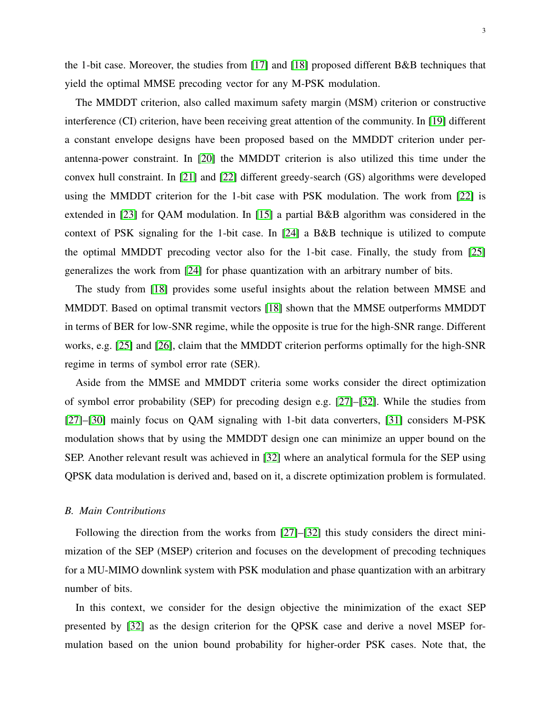the 1-bit case. Moreover, the studies from [\[17\]](#page-24-13) and [\[18\]](#page-24-14) proposed different B&B techniques that yield the optimal MMSE precoding vector for any M-PSK modulation.

The MMDDT criterion, also called maximum safety margin (MSM) criterion or constructive interference (CI) criterion, have been receiving great attention of the community. In [\[19\]](#page-24-15) different a constant envelope designs have been proposed based on the MMDDT criterion under perantenna-power constraint. In [\[20\]](#page-24-16) the MMDDT criterion is also utilized this time under the convex hull constraint. In [\[21\]](#page-24-17) and [\[22\]](#page-24-18) different greedy-search (GS) algorithms were developed using the MMDDT criterion for the 1-bit case with PSK modulation. The work from [\[22\]](#page-24-18) is extended in [\[23\]](#page-24-19) for QAM modulation. In [\[15\]](#page-24-11) a partial B&B algorithm was considered in the context of PSK signaling for the 1-bit case. In [\[24\]](#page-25-0) a B&B technique is utilized to compute the optimal MMDDT precoding vector also for the 1-bit case. Finally, the study from [\[25\]](#page-25-1) generalizes the work from [\[24\]](#page-25-0) for phase quantization with an arbitrary number of bits.

The study from [\[18\]](#page-24-14) provides some useful insights about the relation between MMSE and MMDDT. Based on optimal transmit vectors [\[18\]](#page-24-14) shown that the MMSE outperforms MMDDT in terms of BER for low-SNR regime, while the opposite is true for the high-SNR range. Different works, e.g. [\[25\]](#page-25-1) and [\[26\]](#page-25-2), claim that the MMDDT criterion performs optimally for the high-SNR regime in terms of symbol error rate (SER).

Aside from the MMSE and MMDDT criteria some works consider the direct optimization of symbol error probability (SEP) for precoding design e.g. [\[27\]](#page-25-3)–[\[32\]](#page-25-4). While the studies from [\[27\]](#page-25-3)–[\[30\]](#page-25-5) mainly focus on QAM signaling with 1-bit data converters, [\[31\]](#page-25-6) considers M-PSK modulation shows that by using the MMDDT design one can minimize an upper bound on the SEP. Another relevant result was achieved in [\[32\]](#page-25-4) where an analytical formula for the SEP using QPSK data modulation is derived and, based on it, a discrete optimization problem is formulated.

## *B. Main Contributions*

Following the direction from the works from [\[27\]](#page-25-3)–[\[32\]](#page-25-4) this study considers the direct minimization of the SEP (MSEP) criterion and focuses on the development of precoding techniques for a MU-MIMO downlink system with PSK modulation and phase quantization with an arbitrary number of bits.

In this context, we consider for the design objective the minimization of the exact SEP presented by [\[32\]](#page-25-4) as the design criterion for the QPSK case and derive a novel MSEP formulation based on the union bound probability for higher-order PSK cases. Note that, the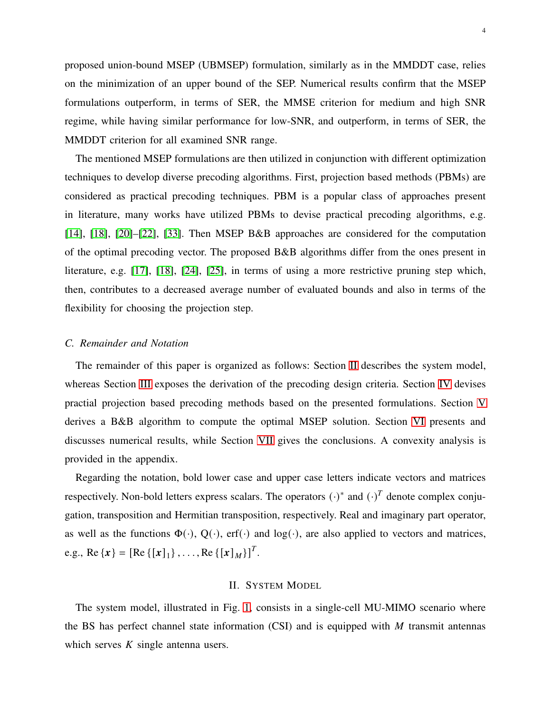proposed union-bound MSEP (UBMSEP) formulation, similarly as in the MMDDT case, relies on the minimization of an upper bound of the SEP. Numerical results confirm that the MSEP formulations outperform, in terms of SER, the MMSE criterion for medium and high SNR regime, while having similar performance for low-SNR, and outperform, in terms of SER, the MMDDT criterion for all examined SNR range.

The mentioned MSEP formulations are then utilized in conjunction with different optimization techniques to develop diverse precoding algorithms. First, projection based methods (PBMs) are considered as practical precoding techniques. PBM is a popular class of approaches present in literature, many works have utilized PBMs to devise practical precoding algorithms, e.g. [\[14\]](#page-24-10), [\[18\]](#page-24-14), [\[20\]](#page-24-16)–[\[22\]](#page-24-18), [\[33\]](#page-25-7). Then MSEP B&B approaches are considered for the computation of the optimal precoding vector. The proposed B&B algorithms differ from the ones present in literature, e.g. [\[17\]](#page-24-13), [\[18\]](#page-24-14), [\[24\]](#page-25-0), [\[25\]](#page-25-1), in terms of using a more restrictive pruning step which, then, contributes to a decreased average number of evaluated bounds and also in terms of the flexibility for choosing the projection step.

## *C. Remainder and Notation*

The remainder of this paper is organized as follows: Section [II](#page-3-0) describes the system model, whereas Section [III](#page-5-0) exposes the derivation of the precoding design criteria. Section [IV](#page-11-0) devises practial projection based precoding methods based on the presented formulations. Section [V](#page-13-0) derives a B&B algorithm to compute the optimal MSEP solution. Section [VI](#page-18-0) presents and discusses numerical results, while Section [VII](#page-21-0) gives the conclusions. A convexity analysis is provided in the appendix.

Regarding the notation, bold lower case and upper case letters indicate vectors and matrices respectively. Non-bold letters express scalars. The operators  $(\cdot)^*$  and  $(\cdot)^T$  denote complex conjugation, transposition and Hermitian transposition, respectively. Real and imaginary part operator, as well as the functions  $\Phi(\cdot)$ ,  $Q(\cdot)$ , erf( $\cdot$ ) and log( $\cdot$ ), are also applied to vectors and matrices, e.g., Re { $x$ } = [Re { $[x]_1$ },..., Re { $[x]_M$ }]<sup>T</sup>.

### II. SYSTEM MODEL

<span id="page-3-0"></span>The system model, illustrated in Fig. [1,](#page-4-0) consists in a single-cell MU-MIMO scenario where the BS has perfect channel state information (CSI) and is equipped with  $M$  transmit antennas which serves  $K$  single antenna users.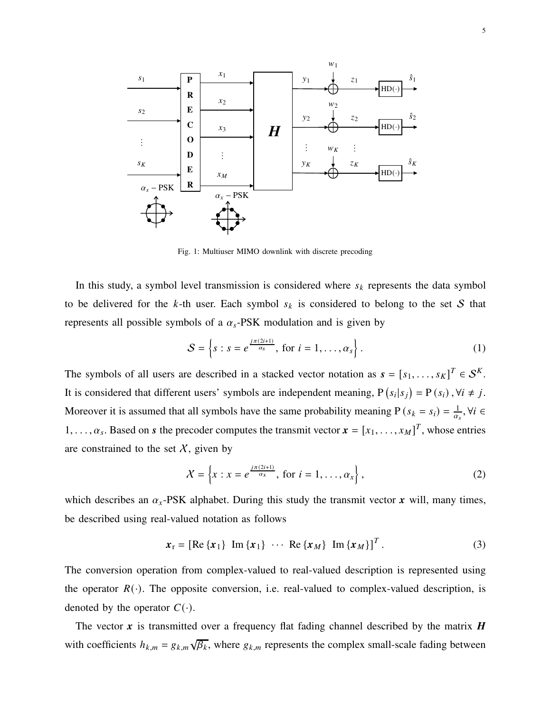<span id="page-4-0"></span>

Fig. 1: Multiuser MIMO downlink with discrete precoding

In this study, a symbol level transmission is considered where  $s_k$  represents the data symbol to be delivered for the k-th user. Each symbol  $s_k$  is considered to belong to the set S that represents all possible symbols of a  $\alpha_s$ -PSK modulation and is given by

$$
S = \left\{ s : s = e^{\frac{j\pi(2i+1)}{\alpha_s}}, \text{ for } i = 1, \dots, \alpha_s \right\}. \tag{1}
$$

The symbols of all users are described in a stacked vector notation as  $\mathbf{s} = [s_1, \dots, s_K]^T \in \mathcal{S}^K$ . It is considered that different users' symbols are independent meaning,  $P(s_i|s_j) = P(s_i)$ ,  $\forall i \neq j$ . Moreover it is assumed that all symbols have the same probability meaning P  $(s_k = s_i) = \frac{1}{\alpha_i}$  $\frac{1}{\alpha_s}, \forall i \in$  $1, \ldots, \alpha_s$ . Based on *s* the precoder computes the transmit vector  $\mathbf{x} = [x_1, \ldots, x_M]^T$ , whose entries are constrained to the set  $X$ , given by

$$
\mathcal{X} = \left\{ x : x = e^{\frac{j\pi(2i+1)}{\alpha_x}}, \text{ for } i = 1, \dots, \alpha_x \right\},\tag{2}
$$

which describes an  $\alpha_x$ -PSK alphabet. During this study the transmit vector  $\boldsymbol{x}$  will, many times, be described using real-valued notation as follows

$$
\boldsymbol{x}_{\mathrm{r}} = [\mathrm{Re}\left\{\boldsymbol{x}_{1}\right\} \ \mathrm{Im}\left\{\boldsymbol{x}_{1}\right\} \ \cdots \ \mathrm{Re}\left\{\boldsymbol{x}_{M}\right\} \ \mathrm{Im}\left\{\boldsymbol{x}_{M}\right\}]^{T} \, . \tag{3}
$$

The conversion operation from complex-valued to real-valued description is represented using the operator  $R(\cdot)$ . The opposite conversion, i.e. real-valued to complex-valued description, is denoted by the operator  $C(\cdot)$ .

The vector x is transmitted over a frequency flat fading channel described by the matrix  $\bm{H}$ with coefficients  $h_{k,m} = g_{k,m}\sqrt{\beta_k}$ , where  $g_{k,m}$  represents the complex small-scale fading between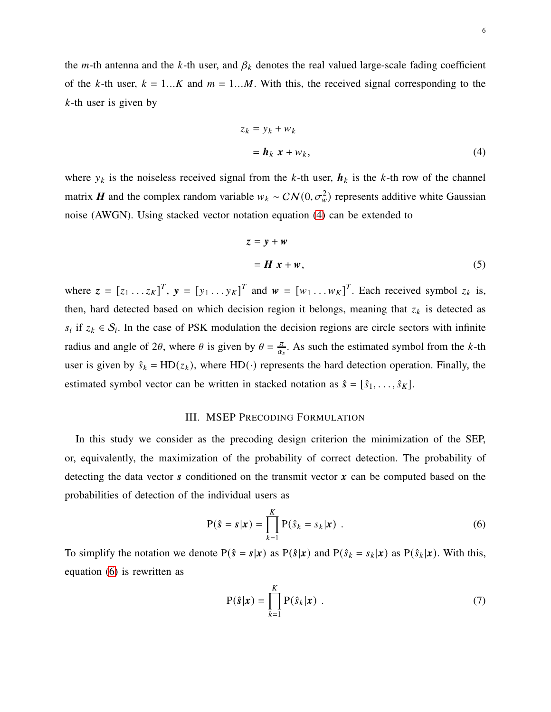the *m*-th antenna and the *k*-th user, and  $\beta_k$  denotes the real valued large-scale fading coefficient of the k-th user,  $k = 1...K$  and  $m = 1...M$ . With this, the received signal corresponding to the  $k$ -th user is given by

<span id="page-5-1"></span>
$$
z_k = y_k + w_k
$$
  
=  $\mathbf{h}_k \mathbf{x} + w_k,$  (4)

where  $y_k$  is the noiseless received signal from the k-th user,  $h_k$  is the k-th row of the channel matrix **H** and the complex random variable  $w_k \sim \mathcal{CN}(0, \sigma_w^2)$  represents additive white Gaussian noise (AWGN). Using stacked vector notation equation [\(4\)](#page-5-1) can be extended to

$$
z = y + w
$$
  
=  $H x + w$ , (5)

where  $z = [z_1 \dots z_K]^T$ ,  $y = [y_1 \dots y_K]^T$  and  $w = [w_1 \dots w_K]^T$ . Each received symbol  $z_k$  is, then, hard detected based on which decision region it belongs, meaning that  $z_k$  is detected as  $s_i$  if  $z_k \in S_i$ . In the case of PSK modulation the decision regions are circle sectors with infinite radius and angle of 2 $\theta$ , where  $\theta$  is given by  $\theta = \frac{\pi}{\alpha}$  $\frac{\pi}{\alpha_s}$ . As such the estimated symbol from the *k*-th user is given by  $\hat{s}_k = HD(z_k)$ , where HD(·) represents the hard detection operation. Finally, the estimated symbol vector can be written in stacked notation as  $\hat{s} = [\hat{s}_1, \dots, \hat{s}_K]$ .

# III. MSEP PRECODING FORMULATION

<span id="page-5-0"></span>In this study we consider as the precoding design criterion the minimization of the SEP, or, equivalently, the maximization of the probability of correct detection. The probability of detecting the data vector  $\boldsymbol{s}$  conditioned on the transmit vector  $\boldsymbol{x}$  can be computed based on the probabilities of detection of the individual users as

$$
P(\hat{s} = s | \mathbf{x}) = \prod_{k=1}^{K} P(\hat{s}_k = s_k | \mathbf{x})
$$
 (6)

To simplify the notation we denote  $P(\hat{s} = s | x)$  as  $P(\hat{s} | x)$  and  $P(\hat{s}_k = s_k | x)$  as  $P(\hat{s}_k | x)$ . With this, equation [\(6\)](#page-5-2) is rewritten as

<span id="page-5-3"></span><span id="page-5-2"></span>
$$
P(\hat{\mathbf{s}}|\mathbf{x}) = \prod_{k=1}^{K} P(\hat{\mathbf{s}}_k|\mathbf{x}) \tag{7}
$$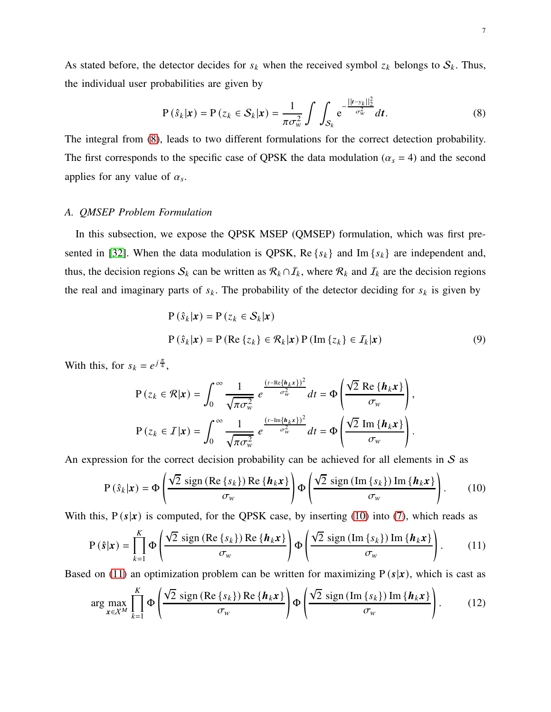As stated before, the detector decides for  $s_k$  when the received symbol  $z_k$  belongs to  $S_k$ . Thus, the individual user probabilities are given by

<span id="page-6-0"></span>
$$
P\left(\hat{s}_k|\boldsymbol{x}\right) = P\left(z_k \in \mathcal{S}_k|\boldsymbol{x}\right) = \frac{1}{\pi \sigma_w^2} \int \int_{\mathcal{S}_k} e^{-\frac{||\boldsymbol{t} - \mathbf{y}_k||_2^2}{\sigma_w^2}} d\boldsymbol{t}.\tag{8}
$$

The integral from [\(8\)](#page-6-0), leads to two different formulations for the correct detection probability. The first corresponds to the specific case of QPSK the data modulation ( $\alpha_s = 4$ ) and the second applies for any value of  $\alpha_s$ .

# *A. QMSEP Problem Formulation*

In this subsection, we expose the QPSK MSEP (QMSEP) formulation, which was first pre-sented in [\[32\]](#page-25-4). When the data modulation is QPSK, Re  $\{s_k\}$  and Im  $\{s_k\}$  are independent and, thus, the decision regions  $S_k$  can be written as  $\mathcal{R}_k \cap \mathcal{I}_k$ , where  $\mathcal{R}_k$  and  $\mathcal{I}_k$  are the decision regions the real and imaginary parts of  $s_k$ . The probability of the detector deciding for  $s_k$  is given by

<span id="page-6-1"></span>
$$
P(\hat{s}_k|\mathbf{x}) = P(z_k \in S_k|\mathbf{x})
$$
  
\n
$$
P(\hat{s}_k|\mathbf{x}) = P(\text{Re}\{z_k\} \in \mathcal{R}_k|\mathbf{x}) P(\text{Im}\{z_k\} \in \mathcal{I}_k|\mathbf{x})
$$
\n(9)

With this, for  $s_k = e^{j\frac{\pi}{4}}$ ,

$$
P(z_k \in \mathcal{R}|\mathbf{x}) = \int_0^\infty \frac{1}{\sqrt{\pi \sigma_w^2}} e^{\frac{(t - \text{Re}\{h_k \mathbf{x}\})^2}{\sigma_w^2}} dt = \Phi \left( \frac{\sqrt{2} \text{ Re}\{h_k \mathbf{x}\}}{\sigma_w} \right),
$$

$$
P(z_k \in \mathcal{I}|\mathbf{x}) = \int_0^\infty \frac{1}{\sqrt{\pi \sigma_w^2}} e^{\frac{(t - \text{Im}\{h_k \mathbf{x}\})^2}{\sigma_w^2}} dt = \Phi \left( \frac{\sqrt{2} \text{Im}\{h_k \mathbf{x}\}}{\sigma_w} \right).
$$

An expression for the correct decision probability can be achieved for all elements in  $S$  as

<span id="page-6-2"></span>
$$
P(\hat{s}_k|\boldsymbol{x}) = \Phi\left(\frac{\sqrt{2}\operatorname{sign}\left(\operatorname{Re}\left\{s_k\right\}\right)\operatorname{Re}\left\{\boldsymbol{h}_k\boldsymbol{x}\right\}}{\sigma_w}\right)\Phi\left(\frac{\sqrt{2}\operatorname{sign}\left(\operatorname{Im}\left\{s_k\right\}\right)\operatorname{Im}\left\{\boldsymbol{h}_k\boldsymbol{x}\right\}}{\sigma_w}\right).
$$
 (10)

With this,  $P(s|x)$  is computed, for the QPSK case, by inserting [\(10\)](#page-6-1) into [\(7\)](#page-5-3), which reads as

$$
P(\hat{s}|\mathbf{x}) = \prod_{k=1}^{K} \Phi\left(\frac{\sqrt{2} \operatorname{sign}\left(\operatorname{Re}\left\{s_{k}\right\}\right) \operatorname{Re}\left\{\boldsymbol{h}_{k}\mathbf{x}\right\}}{\sigma_{w}}\right) \Phi\left(\frac{\sqrt{2} \operatorname{sign}\left(\operatorname{Im}\left\{s_{k}\right\}\right) \operatorname{Im}\left\{\boldsymbol{h}_{k}\mathbf{x}\right\}}{\sigma_{w}}\right).
$$
 (11)

Based on [\(11\)](#page-6-2) an optimization problem can be written for maximizing  $P(s|x)$ , which is cast as

<span id="page-6-3"></span>
$$
\arg\max_{\mathbf{x}\in\mathcal{X}^M}\prod_{k=1}^K\Phi\left(\frac{\sqrt{2}\,\operatorname{sign}\left(\operatorname{Re}\left\{s_k\right\}\right)\operatorname{Re}\left\{\boldsymbol{h}_k\mathbf{x}\right\}}{\sigma_w}\right)\Phi\left(\frac{\sqrt{2}\,\operatorname{sign}\left(\operatorname{Im}\left\{s_k\right\}\right)\operatorname{Im}\left\{\boldsymbol{h}_k\mathbf{x}\right\}}{\sigma_w}\right).
$$
 (12)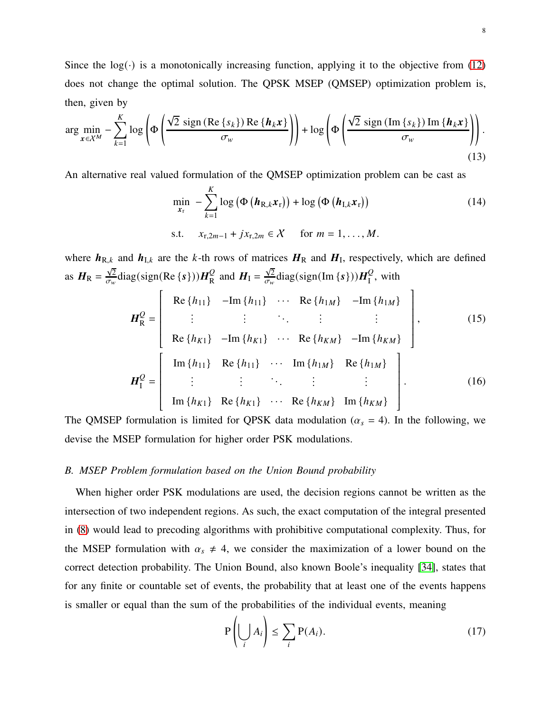Since the  $log(\cdot)$  is a monotonically increasing function, applying it to the objective from [\(12\)](#page-6-3) does not change the optimal solution. The QPSK MSEP (QMSEP) optimization problem is, then, given by

$$
\arg\min_{\mathbf{x}\in\mathcal{X}^M}-\sum_{k=1}^K\log\left(\Phi\left(\frac{\sqrt{2}\,\operatorname{sign}\left(\operatorname{Re}\left\{s_k\right\}\right)\operatorname{Re}\left\{\boldsymbol{h}_k\mathbf{x}\right\}}{\sigma_w}\right)\right)+\log\left(\Phi\left(\frac{\sqrt{2}\,\operatorname{sign}\left(\operatorname{Im}\left\{s_k\right\}\right)\operatorname{Im}\left\{\boldsymbol{h}_k\mathbf{x}\right\}}{\sigma_w}\right)\right).
$$
\n(13)

An alternative real valued formulation of the QMSEP optimization problem can be cast as

<span id="page-7-0"></span>
$$
\min_{\mathbf{x}_{\mathrm{r}}} - \sum_{k=1}^{K} \log \left( \Phi \left( \boldsymbol{h}_{\mathrm{R},k} \boldsymbol{x}_{\mathrm{r}} \right) \right) + \log \left( \Phi \left( \boldsymbol{h}_{\mathrm{I},k} \boldsymbol{x}_{\mathrm{r}} \right) \right) \tag{14}
$$
\n
$$
\text{s.t.} \quad x_{\mathrm{r},2m-1} + j x_{\mathrm{r},2m} \in \mathcal{X} \quad \text{for } m = 1, \ldots, M.
$$

where  $h_{R,k}$  and  $h_{I,k}$  are the k-th rows of matrices  $H_R$  and  $H_I$ , respectively, which are defined as  $H_{\rm R} = \frac{\sqrt{2}}{\sigma_{\rm w}}$  $\frac{\sqrt{2}}{\sigma_w}$ diag(sign(Re {s})) $H_R^Q$  $\frac{Q}{R}$  and  $H_{\rm I} = \frac{\sqrt{2}}{\sigma_{\rm w}}$  $\frac{\sqrt{2}}{\sigma_w}$ diag(sign(Im {s})) $H_{\rm I}^{\rm Q}$  $I<sub>I</sub>$ , with

$$
H_{R}^{Q} = \begin{bmatrix} Re\{h_{11}\} & -Im\{h_{11}\} & \cdots & Re\{h_{1M}\} & -Im\{h_{1M}\} \\ \vdots & \vdots & \ddots & \vdots & \vdots \\ Re\{h_{K1}\} & -Im\{h_{K1}\} & \cdots & Re\{h_{KM}\} & -Im\{h_{KM}\} \end{bmatrix},
$$
(15)  

$$
H_{I}^{Q} = \begin{bmatrix} Im\{h_{11}\} & Re\{h_{11}\} & \cdots & Im\{h_{1M}\} & Re\{h_{1M}\} \\ \vdots & \vdots & \ddots & \vdots & \vdots \\ Im\{h_{K1}\} & Re\{h_{K1}\} & \cdots & Re\{h_{KM}\} & Im\{h_{KM}\} \end{bmatrix}.
$$
(16)

The QMSEP formulation is limited for QPSK data modulation ( $\alpha_s = 4$ ). In the following, we devise the MSEP formulation for higher order PSK modulations.

## *B. MSEP Problem formulation based on the Union Bound probability*

When higher order PSK modulations are used, the decision regions cannot be written as the intersection of two independent regions. As such, the exact computation of the integral presented in [\(8\)](#page-6-0) would lead to precoding algorithms with prohibitive computational complexity. Thus, for the MSEP formulation with  $\alpha_s \neq 4$ , we consider the maximization of a lower bound on the correct detection probability. The Union Bound, also known Boole's inequality [\[34\]](#page-25-8), states that for any finite or countable set of events, the probability that at least one of the events happens is smaller or equal than the sum of the probabilities of the individual events, meaning

$$
P\left(\bigcup_{i} A_{i}\right) \leq \sum_{i} P(A_{i}).
$$
\n(17)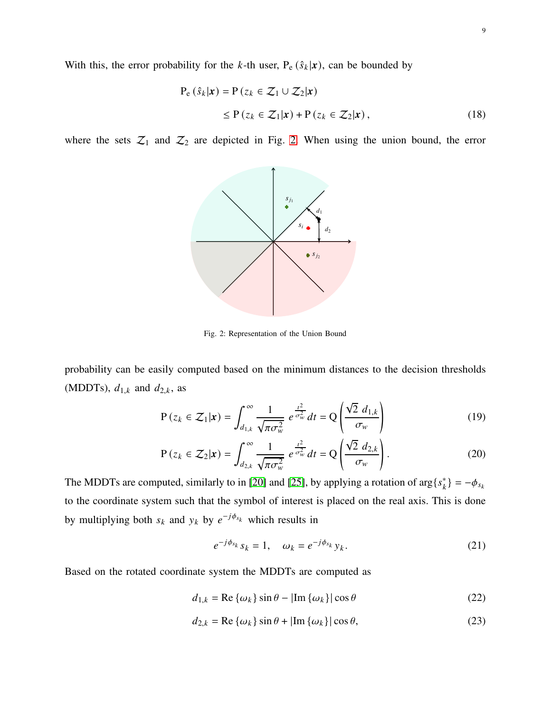With this, the error probability for the k-th user,  $P_e$  ( $\hat{s}_k | x$ ), can be bounded by

$$
P_e (\hat{s}_k | \mathbf{x}) = P (z_k \in \mathcal{Z}_1 \cup \mathcal{Z}_2 | \mathbf{x})
$$
  
\n
$$
\leq P (z_k \in \mathcal{Z}_1 | \mathbf{x}) + P (z_k \in \mathcal{Z}_2 | \mathbf{x}), \qquad (18)
$$

<span id="page-8-0"></span>where the sets  $\mathcal{Z}_1$  and  $\mathcal{Z}_2$  are depicted in Fig. [2.](#page-8-0) When using the union bound, the error



Fig. 2: Representation of the Union Bound

probability can be easily computed based on the minimum distances to the decision thresholds (MDDTs),  $d_{1,k}$  and  $d_{2,k}$ , as

$$
P(z_k \in \mathcal{Z}_1 | \mathbf{x}) = \int_{d_{1,k}}^{\infty} \frac{1}{\sqrt{\pi \sigma_w^2}} e^{\frac{t^2}{\sigma_w^2}} dt = Q \left( \frac{\sqrt{2} d_{1,k}}{\sigma_w} \right)
$$
(19)

$$
P(z_k \in \mathcal{Z}_2 | \mathbf{x}) = \int_{d_{2,k}}^{\infty} \frac{1}{\sqrt{\pi \sigma_w^2}} e^{\frac{t^2}{\sigma_w^2}} dt = Q \left( \frac{\sqrt{2} d_{2,k}}{\sigma_w} \right).
$$
 (20)

The MDDTs are computed, similarly to in [\[20\]](#page-24-16) and [\[25\]](#page-25-1), by applying a rotation of  $\arg\{s_k^*\} = -\phi_{s_k}$ to the coordinate system such that the symbol of interest is placed on the real axis. This is done by multiplying both  $s_k$  and  $y_k$  by  $e^{-j\phi_{s_k}}$  which results in

$$
e^{-j\phi_{s_k}}s_k = 1, \quad \omega_k = e^{-j\phi_{s_k}}y_k. \tag{21}
$$

Based on the rotated coordinate system the MDDTs are computed as

$$
d_{1,k} = \text{Re}\left\{\omega_k\right\} \sin \theta - |\text{Im}\left\{\omega_k\right\}| \cos \theta \tag{22}
$$

$$
d_{2,k} = \text{Re}\left\{\omega_k\right\} \sin \theta + |\text{Im}\left\{\omega_k\right\}| \cos \theta,\tag{23}
$$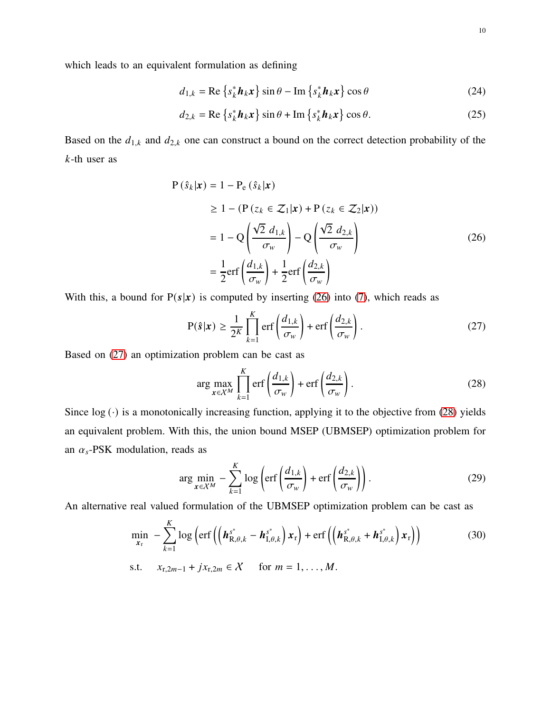which leads to an equivalent formulation as defining

$$
d_{1,k} = \text{Re}\left\{s_k^* \mathbf{h}_k \mathbf{x}\right\} \sin \theta - \text{Im}\left\{s_k^* \mathbf{h}_k \mathbf{x}\right\} \cos \theta \tag{24}
$$

$$
d_{2,k} = \text{Re}\left\{s_k^* \mathbf{h}_k \mathbf{x}\right\} \sin \theta + \text{Im}\left\{s_k^* \mathbf{h}_k \mathbf{x}\right\} \cos \theta. \tag{25}
$$

Based on the  $d_{1,k}$  and  $d_{2,k}$  one can construct a bound on the correct detection probability of the  $k$ -th user as

$$
P(\hat{s}_k|\mathbf{x}) = 1 - P_e(\hat{s}_k|\mathbf{x})
$$
  
\n
$$
\geq 1 - (P(z_k \in \mathcal{Z}_1|\mathbf{x}) + P(z_k \in \mathcal{Z}_2|\mathbf{x}))
$$
  
\n
$$
= 1 - Q\left(\frac{\sqrt{2} d_{1,k}}{\sigma_w}\right) - Q\left(\frac{\sqrt{2} d_{2,k}}{\sigma_w}\right)
$$
  
\n
$$
= \frac{1}{2} \text{erf}\left(\frac{d_{1,k}}{\sigma_w}\right) + \frac{1}{2} \text{erf}\left(\frac{d_{2,k}}{\sigma_w}\right)
$$
 (26)

With this, a bound for  $P(s|x)$  is computed by inserting [\(26\)](#page-9-0) into [\(7\)](#page-5-3), which reads as

<span id="page-9-0"></span>
$$
P(\hat{s}|\mathbf{x}) \ge \frac{1}{2^K} \prod_{k=1}^K \text{erf}\left(\frac{d_{1,k}}{\sigma_w}\right) + \text{erf}\left(\frac{d_{2,k}}{\sigma_w}\right). \tag{27}
$$

Based on [\(27\)](#page-9-1) an optimization problem can be cast as

<span id="page-9-3"></span><span id="page-9-2"></span><span id="page-9-1"></span>
$$
\arg\max_{x \in \mathcal{X}^M} \prod_{k=1}^K \text{erf}\left(\frac{d_{1,k}}{\sigma_w}\right) + \text{erf}\left(\frac{d_{2,k}}{\sigma_w}\right). \tag{28}
$$

Since  $log (.)$  is a monotonically increasing function, applying it to the objective from [\(28\)](#page-9-2) yields an equivalent problem. With this, the union bound MSEP (UBMSEP) optimization problem for an  $\alpha_s$ -PSK modulation, reads as

<span id="page-9-4"></span>
$$
\arg\min_{x \in \mathcal{X}^M} - \sum_{k=1}^K \log \left( \text{erf}\left(\frac{d_{1,k}}{\sigma_w}\right) + \text{erf}\left(\frac{d_{2,k}}{\sigma_w}\right) \right). \tag{29}
$$

An alternative real valued formulation of the UBMSEP optimization problem can be cast as

$$
\min_{\mathbf{x}_{\mathrm{r}}} - \sum_{k=1}^{K} \log \left( \mathrm{erf} \left( \left( \boldsymbol{h}_{\mathrm{R},\theta,k}^{s^*} - \boldsymbol{h}_{\mathrm{I},\theta,k}^{s^*} \right) \boldsymbol{x}_{\mathrm{r}} \right) + \mathrm{erf} \left( \left( \boldsymbol{h}_{\mathrm{R},\theta,k}^{s^*} + \boldsymbol{h}_{\mathrm{I},\theta,k}^{s^*} \right) \boldsymbol{x}_{\mathrm{r}} \right) \right) \tag{30}
$$

s.t. 
$$
x_{r,2m-1} + jx_{r,2m} \in X
$$
 for  $m = 1, ..., M$ .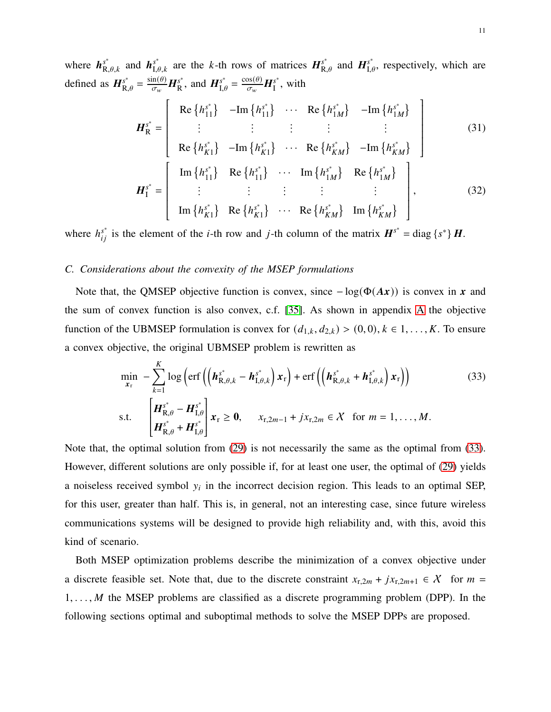where  $h_{R,\theta,k}^{s^*}$  and  $h_{I,\theta,k}^{s^*}$  are the k-th rows of matrices  $H_{R,\theta}^{s^*}$  and  $H_{I,\theta}^{s^*}$ , respectively, which are defined as  $H_{\text{R},\theta}^{s^*} = \frac{\sin(\theta)}{\sigma_w} H_{\text{R}}^{s^*}$ , and  $H_{\text{I},\theta}^{s^*} = \frac{\cos(\theta)}{\sigma_w} H_{\text{I}}^{s^*}$ , with

$$
H_{\rm R}^{s^*} = \begin{bmatrix} \text{Re}\left\{h_{11}^{s^*}\right\} & -\text{Im}\left\{h_{11}^{s^*}\right\} & \cdots & \text{Re}\left\{h_{1M}^{s^*}\right\} & -\text{Im}\left\{h_{1M}^{s^*}\right\} \\ \vdots & \vdots & \vdots & \vdots & \vdots \\ \text{Re}\left\{h_{K1}^{s^*}\right\} & -\text{Im}\left\{h_{K1}^{s^*}\right\} & \cdots & \text{Re}\left\{h_{KM}^{s^*}\right\} & -\text{Im}\left\{h_{KM}^{s^*}\right\} \\ \text{Im}\left\{h_{11}^{s^*}\right\} & \text{Re}\left\{h_{11}^{s^*}\right\} & \cdots & \text{Im}\left\{h_{1M}^{s^*}\right\} & \text{Re}\left\{h_{1M}^{s^*}\right\} \\ \vdots & \vdots & \vdots & \vdots & \vdots \\ \text{Im}\left\{h_{K1}^{s^*}\right\} & \text{Re}\left\{h_{K1}^{s^*}\right\} & \cdots & \text{Re}\left\{h_{KM}^{s^*}\right\} & \text{Im}\left\{h_{KM}^{s^*}\right\} \end{bmatrix},\tag{32}
$$

where  $h_{ij}^{s^*}$  is the element of the *i*-th row and *j*-th column of the matrix  $H^{s^*}$  = diag {s<sup>\*</sup>} H.

## *C. Considerations about the convexity of the MSEP formulations*

Note that, the QMSEP objective function is convex, since  $-\log(\Phi(Ax))$  is convex in x and the sum of convex function is also convex, c.f. [\[35\]](#page-25-9). As shown in appendix [A](#page-22-0) the objective function of the UBMSEP formulation is convex for  $(d_{1,k}, d_{2,k}) > (0, 0), k \in 1, \ldots, K$ . To ensure a convex objective, the original UBMSEP problem is rewritten as

<span id="page-10-0"></span>
$$
\min_{\mathbf{x}_{r}} - \sum_{k=1}^{K} \log \left( \text{erf}\left( \left( \boldsymbol{h}_{\text{R},\theta,k}^{s^{*}} - \boldsymbol{h}_{\text{I},\theta,k}^{s^{*}} \right) \boldsymbol{x}_{r} \right) + \text{erf}\left( \left( \boldsymbol{h}_{\text{R},\theta,k}^{s^{*}} + \boldsymbol{h}_{\text{I},\theta,k}^{s^{*}} \right) \boldsymbol{x}_{r} \right) \right)
$$
\n
$$
\text{s.t.} \quad \left[ \boldsymbol{H}_{\text{R},\theta}^{s^{*}} - \boldsymbol{H}_{\text{I},\theta}^{s^{*}} \right] \boldsymbol{x}_{r} \geq \mathbf{0}, \quad x_{r,2m-1} + jx_{r,2m} \in \mathcal{X} \quad \text{for } m = 1,\ldots,M.
$$
\n
$$
\left[ \boldsymbol{H}_{\text{R},\theta}^{s^{*}} + \boldsymbol{H}_{\text{I},\theta}^{s^{*}} \right] \boldsymbol{x}_{r} \geq \mathbf{0}, \quad x_{r,2m-1} + jx_{r,2m} \in \mathcal{X} \quad \text{for } m = 1,\ldots,M.
$$
\n
$$
(33)
$$

Note that, the optimal solution from [\(29\)](#page-9-3) is not necessarily the same as the optimal from [\(33\)](#page-10-0). However, different solutions are only possible if, for at least one user, the optimal of [\(29\)](#page-9-3) yields a noiseless received symbol  $y_i$  in the incorrect decision region. This leads to an optimal SEP, for this user, greater than half. This is, in general, not an interesting case, since future wireless communications systems will be designed to provide high reliability and, with this, avoid this kind of scenario.

Both MSEP optimization problems describe the minimization of a convex objective under a discrete feasible set. Note that, due to the discrete constraint  $x_{r,2m} + jx_{r,2m+1} \in \mathcal{X}$  for  $m =$  $1, \ldots, M$  the MSEP problems are classified as a discrete programming problem (DPP). In the following sections optimal and suboptimal methods to solve the MSEP DPPs are proposed.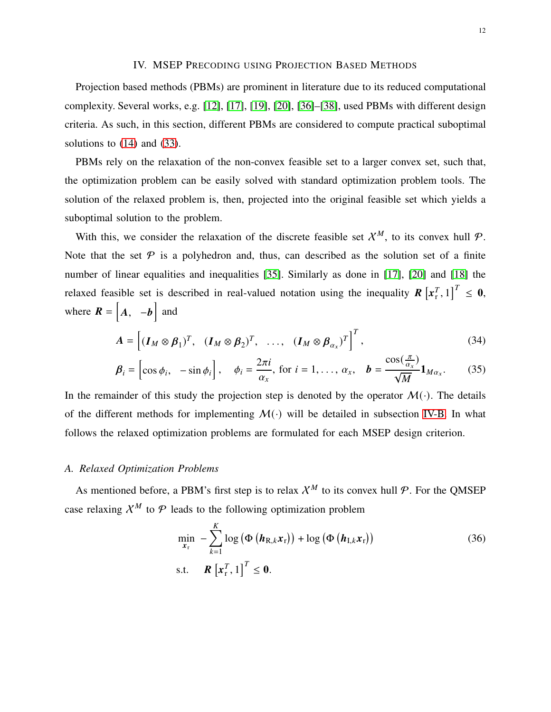## IV. MSEP PRECODING USING PROJECTION BASED METHODS

<span id="page-11-0"></span>Projection based methods (PBMs) are prominent in literature due to its reduced computational complexity. Several works, e.g. [\[12\]](#page-24-8), [\[17\]](#page-24-13), [\[19\]](#page-24-15), [\[20\]](#page-24-16), [\[36\]](#page-25-10)–[\[38\]](#page-25-11), used PBMs with different design criteria. As such, in this section, different PBMs are considered to compute practical suboptimal solutions to  $(14)$  and  $(33)$ .

PBMs rely on the relaxation of the non-convex feasible set to a larger convex set, such that, the optimization problem can be easily solved with standard optimization problem tools. The solution of the relaxed problem is, then, projected into the original feasible set which yields a suboptimal solution to the problem.

With this, we consider the relaxation of the discrete feasible set  $\mathcal{X}^M$ , to its convex hull  $\mathcal{P}$ . Note that the set  $P$  is a polyhedron and, thus, can described as the solution set of a finite number of linear equalities and inequalities [\[35\]](#page-25-9). Similarly as done in [\[17\]](#page-24-13), [\[20\]](#page-24-16) and [\[18\]](#page-24-14) the relaxed feasible set is described in real-valued notation using the inequality  $R\left[x_r^T, 1\right]^T \leq 0$ , where  $\mathbf{R} = \begin{bmatrix} A, & -b \end{bmatrix}$  and

$$
A = \left[ (\boldsymbol{I}_M \otimes \boldsymbol{\beta}_1)^T, \quad (\boldsymbol{I}_M \otimes \boldsymbol{\beta}_2)^T, \quad \dots, \quad (\boldsymbol{I}_M \otimes \boldsymbol{\beta}_{\alpha_x})^T \right]^T,
$$
\n(34)

$$
\boldsymbol{\beta}_i = \begin{bmatrix} \cos \phi_i, & -\sin \phi_i \end{bmatrix}, \quad \phi_i = \frac{2\pi i}{\alpha_x}, \text{ for } i = 1, \dots, \alpha_x, \quad \boldsymbol{b} = \frac{\cos(\frac{\pi}{\alpha_x})}{\sqrt{M}} \boldsymbol{1}_{M\alpha_x}.\tag{35}
$$

In the remainder of this study the projection step is denoted by the operator  $\mathcal{M}(\cdot)$ . The details of the different methods for implementing  $M(\cdot)$  will be detailed in subsection [IV-B.](#page-12-0) In what follows the relaxed optimization problems are formulated for each MSEP design criterion.

#### <span id="page-11-2"></span>*A. Relaxed Optimization Problems*

As mentioned before, a PBM's first step is to relax  $X^M$  to its convex hull  $P$ . For the OMSEP case relaxing  $\mathcal{X}^M$  to  $\mathcal P$  leads to the following optimization problem

<span id="page-11-1"></span>
$$
\min_{\mathbf{x}_{\mathrm{r}}} - \sum_{k=1}^{K} \log \left( \Phi \left( \boldsymbol{h}_{\mathrm{R},k} \boldsymbol{x}_{\mathrm{r}} \right) \right) + \log \left( \Phi \left( \boldsymbol{h}_{\mathrm{I},k} \boldsymbol{x}_{\mathrm{r}} \right) \right) \tag{36}
$$
\n
$$
\text{s.t.} \quad \boldsymbol{R} \left[ \boldsymbol{x}_{\mathrm{r}}^{T}, 1 \right]^{T} \leq \mathbf{0}.
$$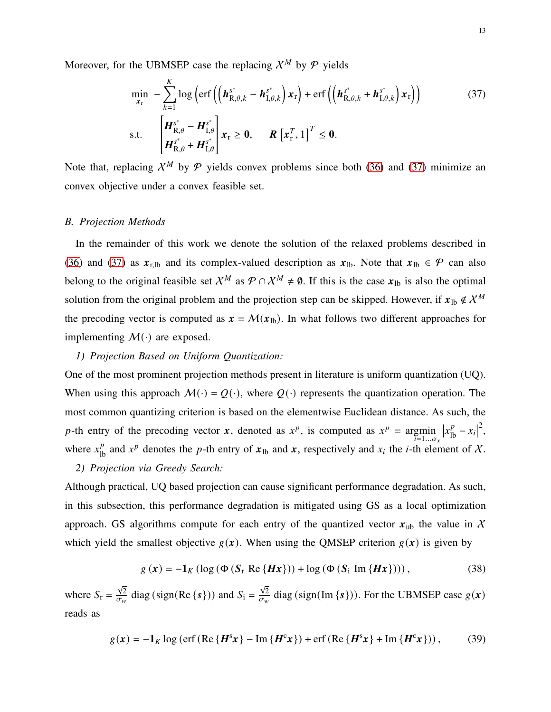Moreover, for the UBMSEP case the replacing  $\mathcal{X}^M$  by  $\mathcal{P}$  yields

<span id="page-12-1"></span>
$$
\min_{\mathbf{x}_{r}} - \sum_{k=1}^{K} \log \left( \text{erf}\left( \left( \boldsymbol{h}_{\text{R},\theta,k}^{s^{*}} - \boldsymbol{h}_{\text{I},\theta,k}^{s^{*}} \right) \boldsymbol{x}_{r} \right) + \text{erf}\left( \left( \boldsymbol{h}_{\text{R},\theta,k}^{s^{*}} + \boldsymbol{h}_{\text{I},\theta,k}^{s^{*}} \right) \boldsymbol{x}_{r} \right) \right)
$$
\n
$$
\text{s.t.} \quad \left[ \boldsymbol{H}_{\text{R},\theta}^{s^{*}} - \boldsymbol{H}_{\text{I},\theta}^{s^{*}} \right] \boldsymbol{x}_{r} \geq \mathbf{0}, \qquad \boldsymbol{R} \left[ \boldsymbol{x}_{r}^{T}, 1 \right]^{T} \leq \mathbf{0}.
$$
\n
$$
\left[ \boldsymbol{H}_{\text{R},\theta}^{s^{*}} + \boldsymbol{H}_{\text{I},\theta}^{s^{*}} \right] \boldsymbol{x}_{r} \geq \mathbf{0}, \qquad \boldsymbol{R} \left[ \boldsymbol{x}_{r}^{T}, 1 \right]^{T} \leq \mathbf{0}.
$$
\n
$$
\left[ \boldsymbol{H}_{\text{R},\theta}^{s^{*}} + \boldsymbol{H}_{\text{I},\theta}^{s^{*}} \right] \boldsymbol{x}_{r} \geq \mathbf{0}, \qquad \boldsymbol{R} \left[ \boldsymbol{x}_{r}^{T}, 1 \right]^{T} \leq \mathbf{0}.
$$
\n
$$
\left[ \boldsymbol{H}_{\text{R},\theta}^{s^{*}} + \boldsymbol{H}_{\text{I},\theta}^{s^{*}} \right] \boldsymbol{x}_{r} \geq \mathbf{0}, \qquad \boldsymbol{R} \left[ \boldsymbol{x}_{r}^{T}, 1 \right]^{T} \leq \mathbf{0}.
$$
\n
$$
\left[ \boldsymbol{H}_{\text{R},\theta}^{s^{*}} + \boldsymbol{H}_{\text{I},\theta}^{s^{*}} \right] \boldsymbol{x}_{r} \geq \mathbf{0}, \qquad \boldsymbol{R} \left[ \boldsymbol{x}_{r}^{T}, 1 \right]^{T} \leq \mathbf{0}.
$$
\n
$$
\left[ \boldsymbol{H}_{\text{R},\theta}^{s^{*}} + \boldsymbol{H}_{\text{I},\theta}^{s
$$

Note that, replacing  $X^M$  by  $P$  yields convex problems since both [\(36\)](#page-11-1) and [\(37\)](#page-12-1) minimize an convex objective under a convex feasible set.

## <span id="page-12-0"></span>*B. Projection Methods*

In the remainder of this work we denote the solution of the relaxed problems described in [\(36\)](#page-11-1) and [\(37\)](#page-12-1) as  $x_{r,lb}$  and its complex-valued description as  $x_{lb}$ . Note that  $x_{lb} \in \mathcal{P}$  can also belong to the original feasible set  $X^M$  as  $\mathcal{P} \cap X^M \neq \emptyset$ . If this is the case  $x_{\text{lb}}$  is also the optimal solution from the original problem and the projection step can be skipped. However, if  $x_{1b} \notin \mathcal{X}^M$ the precoding vector is computed as  $x = M(x_{lb})$ . In what follows two different approaches for implementing  $M(\cdot)$  are exposed.

#### *1) Projection Based on Uniform Quantization:*

One of the most prominent projection methods present in literature is uniform quantization (UQ). When using this approach  $M(\cdot) = Q(\cdot)$ , where  $Q(\cdot)$  represents the quantization operation. The most common quantizing criterion is based on the elementwise Euclidean distance. As such, the p-th entry of the precoding vector  $x$ , denoted as  $x^p$ , is computed as  $x^p = \underset{i=1...a_x}{\arg\min}$  $|x_{\text{lb}}^p - x_i|$ 2 , where  $x_{\text{lb}}^p$  and  $x^p$  denotes the p-th entry of  $x_{\text{lb}}$  and  $x$ , respectively and  $x_i$  the *i*-th element of X. *2) Projection via Greedy Search:*

Although practical, UQ based projection can cause significant performance degradation. As such, in this subsection, this performance degradation is mitigated using GS as a local optimization approach. GS algorithms compute for each entry of the quantized vector  $x_{ub}$  the value in X which yield the smallest objective  $g(x)$ . When using the QMSEP criterion  $g(x)$  is given by

<span id="page-12-2"></span>
$$
g\left(\boldsymbol{x}\right) = -\mathbf{1}_K \left(\log\left(\boldsymbol{\Phi}\left(\boldsymbol{S}_{\mathrm{r}} \mathrm{Re}\left\{\boldsymbol{H}\boldsymbol{x}\right\}\right)\right) + \log\left(\boldsymbol{\Phi}\left(\boldsymbol{S}_{\mathrm{i}} \mathrm{Im}\left\{\boldsymbol{H}\boldsymbol{x}\right\}\right)\right)\right),\tag{38}
$$

where  $S_r = \frac{\sqrt{2}}{\sigma_w}$  $\frac{\sqrt{2}}{\sigma_w}$  diag (sign(Re {s})) and  $S_i = \frac{\sqrt{2}}{\sigma_w}$  $\frac{V_2}{\sigma_w}$  diag (sign(Im {s})). For the UBMSEP case  $g(x)$ reads as

$$
g(x) = -\mathbf{1}_K \log \left( \text{erf} \left( \text{Re} \left\{ \mathbf{H}^s x \right\} - \text{Im} \left\{ \mathbf{H}^c x \right\} \right) + \text{erf} \left( \text{Re} \left\{ \mathbf{H}^s x \right\} + \text{Im} \left\{ \mathbf{H}^c x \right\} \right) \right),\tag{39}
$$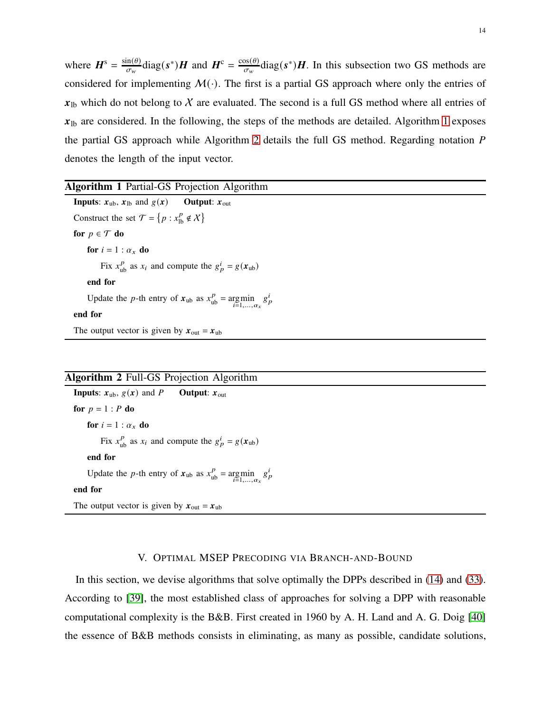where  $\mathbf{H}^s = \frac{\sin(\theta)}{\sigma_w} \text{diag}(s^*) \mathbf{H}$  and  $\mathbf{H}^c = \frac{\cos(\theta)}{\sigma_w} \text{diag}(s^*) \mathbf{H}$ . In this subsection two GS methods are considered for implementing  $M(\cdot)$ . The first is a partial GS approach where only the entries of  $x_{\text{lb}}$  which do not belong to X are evaluated. The second is a full GS method where all entries of  $x_{\text{lb}}$  are considered. In the following, the steps of the methods are detailed. Algorithm [1](#page-13-1) exposes the partial GS approach while Algorithm [2](#page-13-2) details the full GS method. Regarding notation  $P$ denotes the length of the input vector.

<span id="page-13-1"></span>

| <b>Algorithm 1 Partial-GS Projection Algorithm</b>                                     |
|----------------------------------------------------------------------------------------|
| <b>Inputs:</b> $x_{ub}$ , $x_{lb}$ and $g(x)$ <b>Output:</b> $x_{out}$                 |
| Construct the set $\mathcal{T} = \{p : x_{\text{lb}}^p \notin \mathcal{X}\}\$          |
| for $p \in \mathcal{T}$ do                                                             |
| for $i = 1 : \alpha_x$ do                                                              |
| Fix $x_{\text{ub}}^p$ as $x_i$ and compute the $g_p^i = g(x_{ub})$                     |
| end for                                                                                |
| Update the p-th entry of $x_{ub}$ as $x_{ub}^p = \underset{i=1,,a_x}{\arg \min} g_p^i$ |
| end for                                                                                |
| The output vector is given by $x_{\text{out}} = x_{\text{ub}}$                         |
|                                                                                        |

# <span id="page-13-2"></span>Algorithm 2 Full-GS Projection Algorithm

**Inputs:**  $x_{ub}$ ,  $g(x)$  and P **Output:**  $x_{out}$ for  $p = 1$  :  $P$  do for  $i = 1 : \alpha_x$  do Fix  $x_{ub}^p$  as  $x_i$  and compute the  $g_p^i = g(x_{ub})$ end for Update the *p*-th entry of  $x_{ub}$  as  $x_{ub}^p = \underset{i=1,..., \alpha_x}{\arg \min} g_p^i$ end for The output vector is given by  $x_{\text{out}} = x_{\text{ub}}$ 

#### V. OPTIMAL MSEP PRECODING VIA BRANCH-AND-BOUND

<span id="page-13-0"></span>In this section, we devise algorithms that solve optimally the DPPs described in [\(14\)](#page-7-0) and [\(33\)](#page-10-0). According to [\[39\]](#page-25-12), the most established class of approaches for solving a DPP with reasonable computational complexity is the B&B. First created in 1960 by A. H. Land and A. G. Doig [\[40\]](#page-25-13) the essence of B&B methods consists in eliminating, as many as possible, candidate solutions,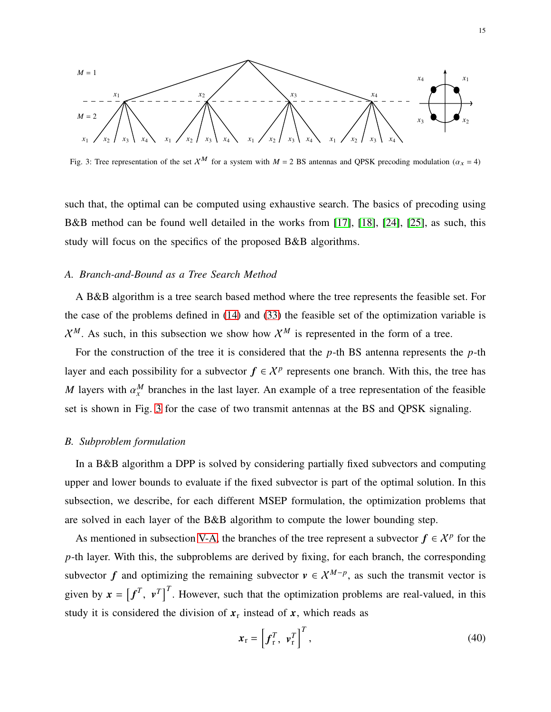<span id="page-14-0"></span>

Fig. 3: Tree representation of the set  $X^M$  for a system with  $M = 2$  BS antennas and QPSK precoding modulation ( $\alpha_x = 4$ )

such that, the optimal can be computed using exhaustive search. The basics of precoding using B&B method can be found well detailed in the works from [\[17\]](#page-24-13), [\[18\]](#page-24-14), [\[24\]](#page-25-0), [\[25\]](#page-25-1), as such, this study will focus on the specifics of the proposed B&B algorithms.

#### <span id="page-14-1"></span>*A. Branch-and-Bound as a Tree Search Method*

A B&B algorithm is a tree search based method where the tree represents the feasible set. For the case of the problems defined in [\(14\)](#page-7-0) and [\(33\)](#page-10-0) the feasible set of the optimization variable is  $X^M$ . As such, in this subsection we show how  $X^M$  is represented in the form of a tree.

For the construction of the tree it is considered that the  $p$ -th BS antenna represents the  $p$ -th layer and each possibility for a subvector  $f \in \mathcal{X}^p$  represents one branch. With this, the tree has M layers with  $\alpha_x^M$  branches in the last layer. An example of a tree representation of the feasible set is shown in Fig. [3](#page-14-0) for the case of two transmit antennas at the BS and QPSK signaling.

#### *B. Subproblem formulation*

In a B&B algorithm a DPP is solved by considering partially fixed subvectors and computing upper and lower bounds to evaluate if the fixed subvector is part of the optimal solution. In this subsection, we describe, for each different MSEP formulation, the optimization problems that are solved in each layer of the B&B algorithm to compute the lower bounding step.

As mentioned in subsection [V-A,](#page-14-1) the branches of the tree represent a subvector  $f \in \mathcal{X}^p$  for the  $p$ -th layer. With this, the subproblems are derived by fixing, for each branch, the corresponding subvector f and optimizing the remaining subvector  $v \in \mathcal{X}^{M-p}$ , as such the transmit vector is given by  $\mathbf{x} = \begin{bmatrix} f^T, & v^T \end{bmatrix}^T$ . However, such that the optimization problems are real-valued, in this study it is considered the division of  $x_r$  instead of x, which reads as

$$
\mathbf{x}_{\mathrm{r}} = \left[ \mathbf{f}_{\mathrm{r}}^{T}, \mathbf{v}_{\mathrm{r}}^{T} \right]^{T}, \tag{40}
$$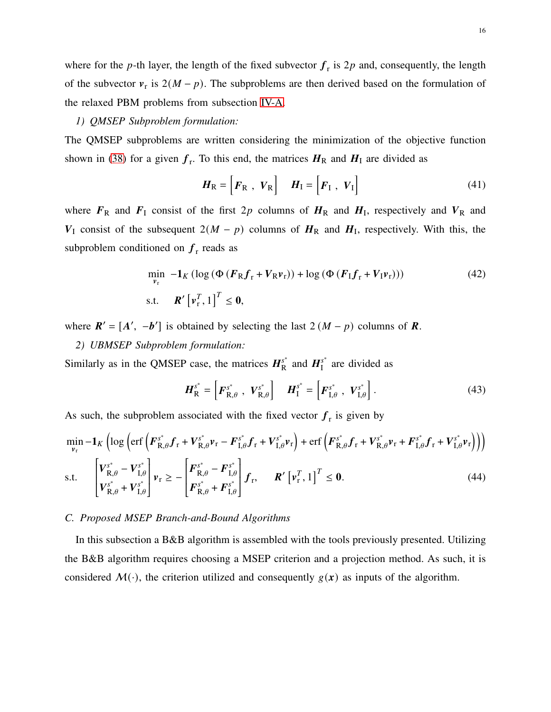where for the p-th layer, the length of the fixed subvector  $f_r$  is 2p and, consequently, the length of the subvector  $v_r$  is  $2(M - p)$ . The subproblems are then derived based on the formulation of the relaxed PBM problems from subsection [IV-A.](#page-11-2)

## *1) QMSEP Subproblem formulation:*

The QMSEP subproblems are written considering the minimization of the objective function shown in [\(38\)](#page-12-2) for a given  $f_r$ . To this end, the matrices  $H_R$  and  $H_I$  are divided as

$$
\boldsymbol{H}_{\text{R}} = \begin{bmatrix} \boldsymbol{F}_{\text{R}} & \boldsymbol{V}_{\text{R}} \end{bmatrix} \quad \boldsymbol{H}_{\text{I}} = \begin{bmatrix} \boldsymbol{F}_{\text{I}} & \boldsymbol{V}_{\text{I}} \end{bmatrix} \tag{41}
$$

where  $F_R$  and  $F_I$  consist of the first 2p columns of  $H_R$  and  $H_I$ , respectively and  $V_R$  and  $V_I$  consist of the subsequent  $2(M - p)$  columns of  $H_R$  and  $H_I$ , respectively. With this, the subproblem conditioned on  $f_r$  reads as

$$
\min_{\mathbf{v}_{r}} -\mathbf{1}_{K} \left( \log \left( \Phi \left( \mathbf{F}_{R} \mathbf{f}_{r} + \mathbf{V}_{R} \mathbf{v}_{r} \right) \right) + \log \left( \Phi \left( \mathbf{F}_{I} \mathbf{f}_{r} + \mathbf{V}_{I} \mathbf{v}_{r} \right) \right) \right) \tag{42}
$$
\ns.t.

\n
$$
\mathbf{R}' \left[ \mathbf{v}_{r}^{T}, 1 \right]^{T} \leq \mathbf{0},
$$

where  $\mathbf{R}' = [\mathbf{A}', -\mathbf{b}']$  is obtained by selecting the last  $2(M - p)$  columns of  $\mathbf{R}$ .

## *2) UBMSEP Subproblem formulation:*

Similarly as in the QMSEP case, the matrices  $H_{\rm R}^{s^*}$  and  $H_{\rm I}^{s^*}$  are divided as

$$
\boldsymbol{H}_{\mathrm{R}}^{s^*} = \begin{bmatrix} \boldsymbol{F}_{\mathrm{R},\theta}^{s^*} & \boldsymbol{V}_{\mathrm{R},\theta}^{s^*} \end{bmatrix} \quad \boldsymbol{H}_{\mathrm{I}}^{s^*} = \begin{bmatrix} \boldsymbol{F}_{\mathrm{I},\theta}^{s^*} & \boldsymbol{V}_{\mathrm{I},\theta}^{s^*} \end{bmatrix} . \tag{43}
$$

As such, the subproblem associated with the fixed vector  $f_r$  is given by

$$
\min_{\mathbf{v}_{r}} -\mathbf{1}_{K} \left( \log \left( \text{erf} \left( \mathbf{F}_{\mathbf{R},\theta}^{s^{*}} \mathbf{f}_{r} + \mathbf{V}_{\mathbf{R},\theta}^{s^{*}} \mathbf{v}_{r} - \mathbf{F}_{\mathbf{I},\theta}^{s^{*}} \mathbf{f}_{r} + \mathbf{V}_{\mathbf{I},\theta}^{s^{*}} \mathbf{v}_{r} \right) + \text{erf} \left( \mathbf{F}_{\mathbf{R},\theta}^{s^{*}} \mathbf{f}_{r} + \mathbf{V}_{\mathbf{R},\theta}^{s^{*}} \mathbf{v}_{r} + \mathbf{F}_{\mathbf{I},\theta}^{s^{*}} \mathbf{f}_{r} + \mathbf{V}_{\mathbf{I},\theta}^{s^{*}} \mathbf{v}_{r} \right) \right) \tag{44}
$$
\n
$$
\text{s.t.} \quad \begin{bmatrix} \mathbf{V}_{\mathbf{R},\theta}^{s^{*}} - \mathbf{V}_{\mathbf{I},\theta}^{s^{*}} \\ \mathbf{F}_{\mathbf{R},\theta}^{s^{*}} + \mathbf{V}_{\mathbf{I},\theta}^{s^{*}} \end{bmatrix} \mathbf{v}_{r} \geq - \begin{bmatrix} \mathbf{F}_{\mathbf{R},\theta}^{s^{*}} - \mathbf{F}_{\mathbf{I},\theta}^{s^{*}} \\ \mathbf{F}_{\mathbf{R},\theta}^{s^{*}} + \mathbf{F}_{\mathbf{I},\theta}^{s^{*}} \end{bmatrix} \mathbf{f}_{r}, \qquad \mathbf{R}' \left[ \mathbf{v}_{r}^{T}, 1 \right]^{T} \leq \mathbf{0}. \tag{44}
$$

### *C. Proposed MSEP Branch-and-Bound Algorithms*

In this subsection a B&B algorithm is assembled with the tools previously presented. Utilizing the B&B algorithm requires choosing a MSEP criterion and a projection method. As such, it is considered  $M(\cdot)$ , the criterion utilized and consequently  $g(x)$  as inputs of the algorithm.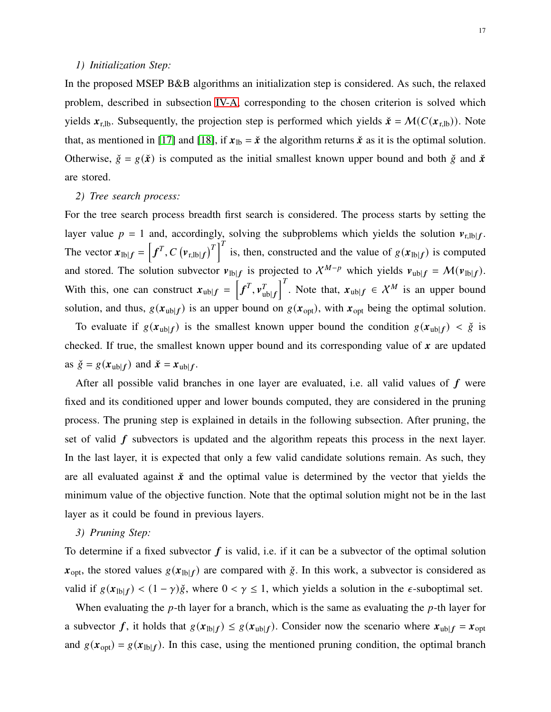## *1) Initialization Step:*

In the proposed MSEP B&B algorithms an initialization step is considered. As such, the relaxed problem, described in subsection [IV-A,](#page-11-2) corresponding to the chosen criterion is solved which yields  $\mathbf{x}_{r,lb}$ . Subsequently, the projection step is performed which yields  $\check{\mathbf{x}} = \mathcal{M}(C(\mathbf{x}_{r,lb}))$ . Note that, as mentioned in [\[17\]](#page-24-13) and [\[18\]](#page-24-14), if  $x_{1b} = \dot{x}$  the algorithm returns  $\dot{x}$  as it is the optimal solution. Otherwise,  $\check{g} = g(\check{x})$  is computed as the initial smallest known upper bound and both  $\check{g}$  and  $\check{x}$ are stored.

## *2) Tree search process:*

For the tree search process breadth first search is considered. The process starts by setting the layer value  $p = 1$  and, accordingly, solving the subproblems which yields the solution  $v_{r,lb}$ . The vector  $x_{lb} = [f^T, C(v_{r, lb} | f)]^T$  is, then, constructed and the value of  $g(x_{lb} | f)$  is computed and stored. The solution subvector  $v_{\text{lb}|f}$  is projected to  $\chi^{M-p}$  which yields  $v_{\text{ub}|f} = \mathcal{M}(v_{\text{lb}|f})$ . With this, one can construct  $x_{\text{ub}|f} = \left[ f^T, v_u^T \right]$  $_{\text{ub}|f}$ <sup>T</sup>. Note that,  $x_{\text{ub}|f} \in \mathcal{X}^M$  is an upper bound solution, and thus,  $g(\mathbf{x}_{ub}|f)$  is an upper bound on  $g(\mathbf{x}_{opt})$ , with  $\mathbf{x}_{opt}$  being the optimal solution.

To evaluate if  $g(x_{ub}|f)$  is the smallest known upper bound the condition  $g(x_{ub}|f) < \check{g}$  is checked. If true, the smallest known upper bound and its corresponding value of  $x$  are updated as  $\check{g} = g(x_{ub}|f)$  and  $\check{x} = x_{ub}|f$ .

After all possible valid branches in one layer are evaluated, i.e. all valid values of  $f$  were fixed and its conditioned upper and lower bounds computed, they are considered in the pruning process. The pruning step is explained in details in the following subsection. After pruning, the set of valid  $f$  subvectors is updated and the algorithm repeats this process in the next layer. In the last layer, it is expected that only a few valid candidate solutions remain. As such, they are all evaluated against  $\dot{x}$  and the optimal value is determined by the vector that yields the minimum value of the objective function. Note that the optimal solution might not be in the last layer as it could be found in previous layers.

#### *3) Pruning Step:*

To determine if a fixed subvector  $f$  is valid, i.e. if it can be a subvector of the optimal solution  $x_{\text{opt}}$ , the stored values  $g(x_{\text{lb}|f})$  are compared with  $\check{g}$ . In this work, a subvector is considered as valid if  $g(x_{\text{lb}|f}) < (1 - \gamma)\check{g}$ , where  $0 < \gamma \le 1$ , which yields a solution in the  $\epsilon$ -suboptimal set.

When evaluating the  $p$ -th layer for a branch, which is the same as evaluating the  $p$ -th layer for a subvector  $f$ , it holds that  $g(x_{\text{lb}}|f) \leq g(x_{\text{ub}}|f)$ . Consider now the scenario where  $x_{\text{ub}}|f = x_{\text{opt}}$ and  $g(x_{opt}) = g(x_{1b}|f)$ . In this case, using the mentioned pruning condition, the optimal branch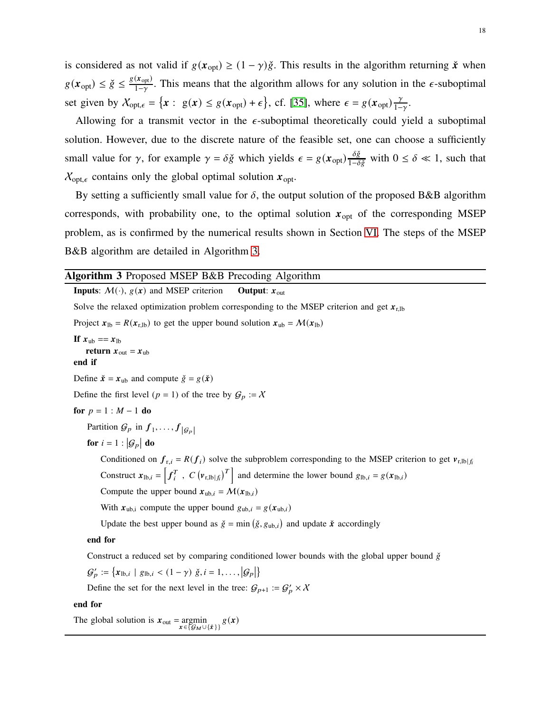is considered as not valid if  $g(x_{opt}) \ge (1 - \gamma)\check{g}$ . This results in the algorithm returning  $\check{x}$  when  $g(\mathbf{x}_{opt}) \leq \check{g} \leq \frac{g(\mathbf{x}_{opt})}{1-\gamma}$  $\frac{(x_{opt})}{1-\gamma}$ . This means that the algorithm allows for any solution in the  $\epsilon$ -suboptimal set given by  $X_{opt,\epsilon} = \{x : g(x) \leq g(x_{opt}) + \epsilon\}$ , cf. [\[35\]](#page-25-9), where  $\epsilon = g(x_{opt})\frac{\gamma}{1-\epsilon}$  $rac{\gamma}{1-\gamma}$ .

Allowing for a transmit vector in the  $\epsilon$ -suboptimal theoretically could yield a suboptimal solution. However, due to the discrete nature of the feasible set, one can choose a sufficiently small value for  $\gamma$ , for example  $\gamma = \delta \check{g}$  which yields  $\epsilon = g(x_{opt}) \frac{\delta \check{g}}{1 - \delta \check{g}}$  with  $0 \le \delta \ll 1$ , such that  $X_{\text{opt},\epsilon}$  contains only the global optimal solution  $x_{\text{opt}}$ .

By setting a sufficiently small value for  $\delta$ , the output solution of the proposed B&B algorithm corresponds, with probability one, to the optimal solution  $x_{opt}$  of the corresponding MSEP problem, as is confirmed by the numerical results shown in Section [VI.](#page-18-0) The steps of the MSEP B&B algorithm are detailed in Algorithm [3.](#page-17-0)

<span id="page-17-0"></span>

end for

The global solution is  $\mathbf{x}_{\text{out}} = \underset{\mathbf{x} \in \{\mathcal{G}_M \cup \{\hat{\mathbf{x}}\}\}}{\text{argmin}} g(\mathbf{x})$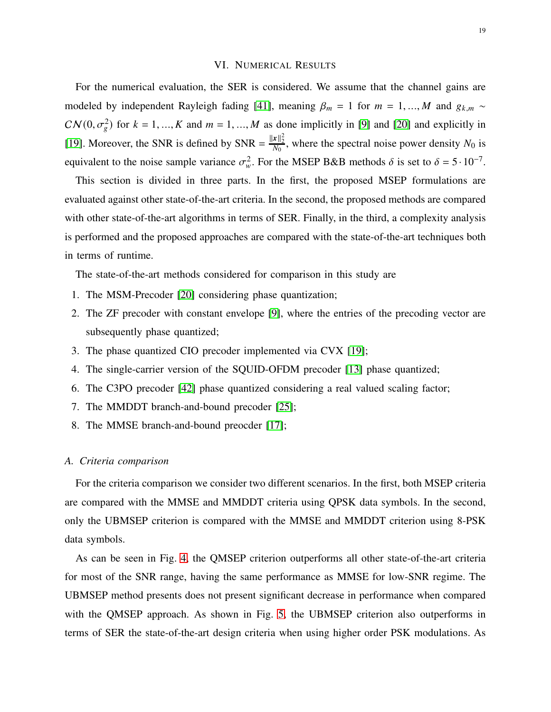## VI. NUMERICAL RESULTS

<span id="page-18-0"></span>For the numerical evaluation, the SER is considered. We assume that the channel gains are modeled by independent Rayleigh fading [\[41\]](#page-25-14), meaning  $\beta_m = 1$  for  $m = 1, ..., M$  and  $g_{k,m} \sim$  $CN(0, \sigma_g^2)$  for  $k = 1, ..., K$  and  $m = 1, ..., M$  as done implicitly in [\[9\]](#page-24-5) and [\[20\]](#page-24-16) and explicitly in [\[19\]](#page-24-15). Moreover, the SNR is defined by SNR =  $\frac{||x||_2^2}{N_0}$ , where the spectral noise power density  $N_0$  is equivalent to the noise sample variance  $\sigma_w^2$ . For the MSEP B&B methods  $\delta$  is set to  $\delta = 5 \cdot 10^{-7}$ .

This section is divided in three parts. In the first, the proposed MSEP formulations are evaluated against other state-of-the-art criteria. In the second, the proposed methods are compared with other state-of-the-art algorithms in terms of SER. Finally, in the third, a complexity analysis is performed and the proposed approaches are compared with the state-of-the-art techniques both in terms of runtime.

The state-of-the-art methods considered for comparison in this study are

- 1. The MSM-Precoder [\[20\]](#page-24-16) considering phase quantization;
- 2. The ZF precoder with constant envelope [\[9\]](#page-24-5), where the entries of the precoding vector are subsequently phase quantized;
- 3. The phase quantized CIO precoder implemented via CVX [\[19\]](#page-24-15);
- 4. The single-carrier version of the SQUID-OFDM precoder [\[13\]](#page-24-9) phase quantized;
- 6. The C3PO precoder [\[42\]](#page-25-15) phase quantized considering a real valued scaling factor;
- 7. The MMDDT branch-and-bound precoder [\[25\]](#page-25-1);
- 8. The MMSE branch-and-bound preocder [\[17\]](#page-24-13);

## *A. Criteria comparison*

For the criteria comparison we consider two different scenarios. In the first, both MSEP criteria are compared with the MMSE and MMDDT criteria using QPSK data symbols. In the second, only the UBMSEP criterion is compared with the MMSE and MMDDT criterion using 8-PSK data symbols.

As can be seen in Fig. [4,](#page-19-0) the QMSEP criterion outperforms all other state-of-the-art criteria for most of the SNR range, having the same performance as MMSE for low-SNR regime. The UBMSEP method presents does not present significant decrease in performance when compared with the QMSEP approach. As shown in Fig. [5,](#page-19-1) the UBMSEP criterion also outperforms in terms of SER the state-of-the-art design criteria when using higher order PSK modulations. As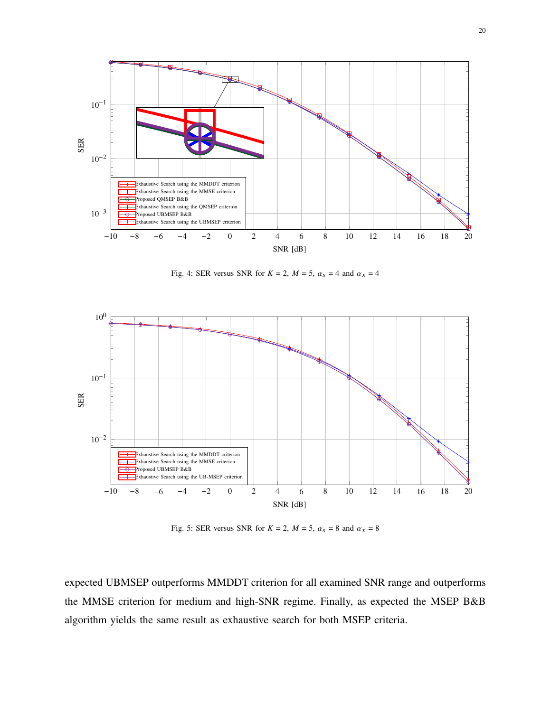<span id="page-19-0"></span>

<span id="page-19-3"></span>Fig. 4: SER versus SNR for  $K = 2$ ,  $M = 5$ ,  $\alpha_s = 4$  and  $\alpha_x = 4$ 

<span id="page-19-1"></span>

<span id="page-19-2"></span>Fig. 5: SER versus SNR for  $K = 2$ ,  $M = 5$ ,  $\alpha_s = 8$  and  $\alpha_x = 8$ 

expected UBMSEP outperforms MMDDT criterion for all examined SNR range and outperforms the MMSE criterion for medium and high-SNR regime. Finally, as expected the MSEP B&B algorithm yields the same result as exhaustive search for both MSEP criteria.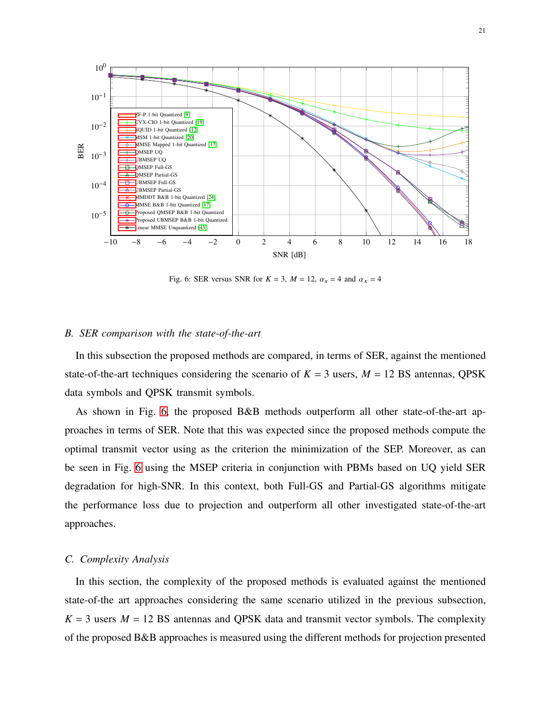<span id="page-20-1"></span>

<span id="page-20-0"></span>Fig. 6: SER versus SNR for  $K = 3$ ,  $M = 12$ ,  $\alpha_s = 4$  and  $\alpha_x = 4$ 

# *B. SER comparison with the state-of-the-art*

In this subsection the proposed methods are compared, in terms of SER, against the mentioned state-of-the-art techniques considering the scenario of  $K = 3$  users,  $M = 12$  BS antennas, QPSK data symbols and QPSK transmit symbols.

As shown in Fig. [6,](#page-20-1) the proposed B&B methods outperform all other state-of-the-art approaches in terms of SER. Note that this was expected since the proposed methods compute the optimal transmit vector using as the criterion the minimization of the SEP. Moreover, as can be seen in Fig. [6](#page-20-1) using the MSEP criteria in conjunction with PBMs based on UQ yield SER degradation for high-SNR. In this context, both Full-GS and Partial-GS algorithms mitigate the performance loss due to projection and outperform all other investigated state-of-the-art approaches.

## *C. Complexity Analysis*

In this section, the complexity of the proposed methods is evaluated against the mentioned state-of-the art approaches considering the same scenario utilized in the previous subsection,  $K = 3$  users  $M = 12$  BS antennas and QPSK data and transmit vector symbols. The complexity of the proposed B&B approaches is measured using the different methods for projection presented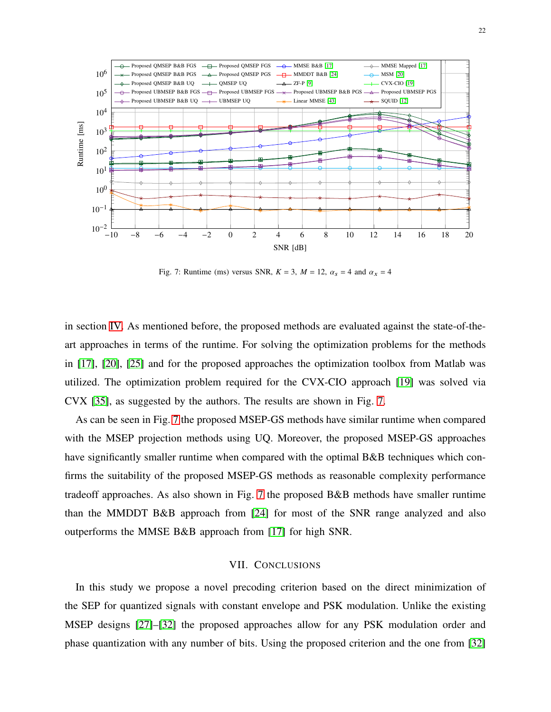<span id="page-21-1"></span>

Fig. 7: Runtime (ms) versus SNR,  $K = 3$ ,  $M = 12$ ,  $\alpha_s = 4$  and  $\alpha_x = 4$ 

in section [IV.](#page-11-0) As mentioned before, the proposed methods are evaluated against the state-of-theart approaches in terms of the runtime. For solving the optimization problems for the methods in [\[17\]](#page-24-13), [\[20\]](#page-24-16), [\[25\]](#page-25-1) and for the proposed approaches the optimization toolbox from Matlab was utilized. The optimization problem required for the CVX-CIO approach [\[19\]](#page-24-15) was solved via CVX [\[35\]](#page-25-9), as suggested by the authors. The results are shown in Fig. [7.](#page-21-1)

As can be seen in Fig. [7](#page-21-1) the proposed MSEP-GS methods have similar runtime when compared with the MSEP projection methods using UQ. Moreover, the proposed MSEP-GS approaches have significantly smaller runtime when compared with the optimal B&B techniques which confirms the suitability of the proposed MSEP-GS methods as reasonable complexity performance tradeoff approaches. As also shown in Fig. [7](#page-21-1) the proposed B&B methods have smaller runtime than the MMDDT B&B approach from [\[24\]](#page-25-0) for most of the SNR range analyzed and also outperforms the MMSE B&B approach from [\[17\]](#page-24-13) for high SNR.

# VII. CONCLUSIONS

<span id="page-21-0"></span>In this study we propose a novel precoding criterion based on the direct minimization of the SEP for quantized signals with constant envelope and PSK modulation. Unlike the existing MSEP designs [\[27\]](#page-25-3)–[\[32\]](#page-25-4) the proposed approaches allow for any PSK modulation order and phase quantization with any number of bits. Using the proposed criterion and the one from [\[32\]](#page-25-4)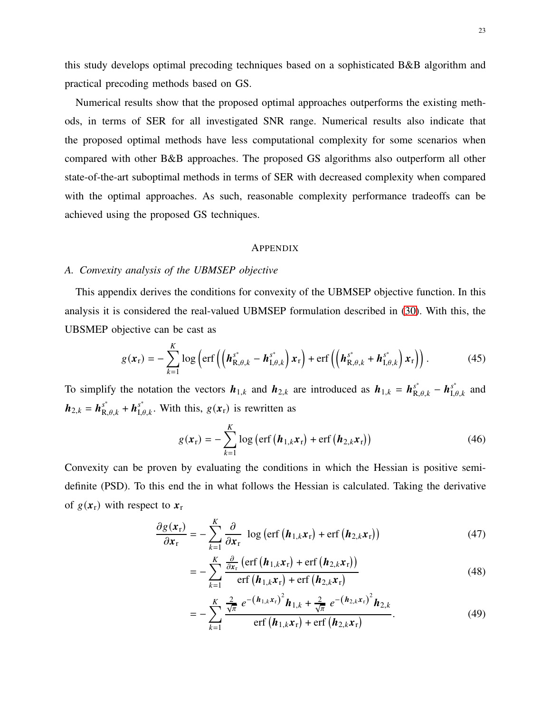this study develops optimal precoding techniques based on a sophisticated B&B algorithm and practical precoding methods based on GS.

Numerical results show that the proposed optimal approaches outperforms the existing methods, in terms of SER for all investigated SNR range. Numerical results also indicate that the proposed optimal methods have less computational complexity for some scenarios when compared with other B&B approaches. The proposed GS algorithms also outperform all other state-of-the-art suboptimal methods in terms of SER with decreased complexity when compared with the optimal approaches. As such, reasonable complexity performance tradeoffs can be achieved using the proposed GS techniques.

#### **APPENDIX**

## <span id="page-22-0"></span>*A. Convexity analysis of the UBMSEP objective*

This appendix derives the conditions for convexity of the UBMSEP objective function. In this analysis it is considered the real-valued UBMSEP formulation described in [\(30\)](#page-9-4). With this, the UBSMEP objective can be cast as

$$
g(\boldsymbol{x}_{r}) = -\sum_{k=1}^{K} \log \left( \text{erf}\left( \left( \boldsymbol{h}_{\text{R},\theta,k}^{s^{*}} - \boldsymbol{h}_{\text{I},\theta,k}^{s^{*}} \right) \boldsymbol{x}_{r} \right) + \text{erf}\left( \left( \boldsymbol{h}_{\text{R},\theta,k}^{s^{*}} + \boldsymbol{h}_{\text{I},\theta,k}^{s^{*}} \right) \boldsymbol{x}_{r} \right) \right). \tag{45}
$$

To simplify the notation the vectors  $h_{1,k}$  and  $h_{2,k}$  are introduced as  $h_{1,k} = h_{R,\theta,k}^{s^*} - h_{I,\theta,k}^{s^*}$  and  $h_{2,k} = h_{\mathbf{R},\theta,k}^{s^*} + h_{1,\theta,k}^{s^*}$ . With this,  $g(\mathbf{x}_r)$  is rewritten as

$$
g(\boldsymbol{x}_{r}) = -\sum_{k=1}^{K} \log \left( \text{erf} \left( \boldsymbol{h}_{1,k} \boldsymbol{x}_{r} \right) + \text{erf} \left( \boldsymbol{h}_{2,k} \boldsymbol{x}_{r} \right) \right) \tag{46}
$$

Convexity can be proven by evaluating the conditions in which the Hessian is positive semidefinite (PSD). To this end the in what follows the Hessian is calculated. Taking the derivative of  $g(x_r)$  with respect to  $x_r$ 

$$
\frac{\partial g(\mathbf{x}_{r})}{\partial \mathbf{x}_{r}} = -\sum_{k=1}^{K} \frac{\partial}{\partial \mathbf{x}_{r}} \log \left( \text{erf} \left( \boldsymbol{h}_{1,k} \mathbf{x}_{r} \right) + \text{erf} \left( \boldsymbol{h}_{2,k} \mathbf{x}_{r} \right) \right) \tag{47}
$$

$$
= -\sum_{k=1}^{K} \frac{\frac{\partial}{\partial x_{\rm r}} \left( \operatorname{erf} \left( \boldsymbol{h}_{1,k} \boldsymbol{x}_{\rm r} \right) + \operatorname{erf} \left( \boldsymbol{h}_{2,k} \boldsymbol{x}_{\rm r} \right) \right)}{\operatorname{erf} \left( \boldsymbol{h}_{1,k} \boldsymbol{x}_{\rm r} \right) + \operatorname{erf} \left( \boldsymbol{h}_{2,k} \boldsymbol{x}_{\rm r} \right)}
$$
(48)

$$
= -\sum_{k=1}^{K} \frac{\frac{2}{\sqrt{\pi}} e^{-({\bf h}_{1,k} {\bf x}_{\rm r})^{2} } {\bf h}_{1,k} + \frac{2}{\sqrt{\pi}} e^{-({\bf h}_{2,k} {\bf x}_{\rm r})^{2} } {\bf h}_{2,k}}{\text{erf} \left( {\bf h}_{1,k} {\bf x}_{\rm r} \right) + \text{erf} \left( {\bf h}_{2,k} {\bf x}_{\rm r} \right)}.
$$
(49)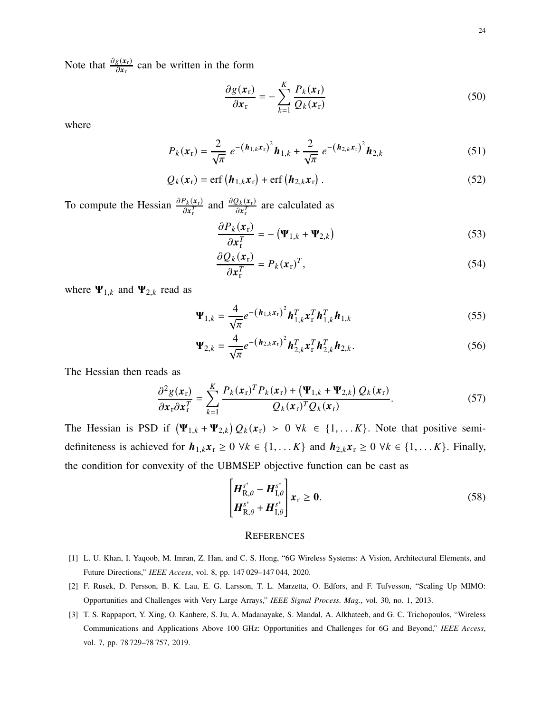Note that  $\frac{\partial g(\mathbf{x}_r)}{\partial \mathbf{x}_r}$  can be written in the form

$$
\frac{\partial g(\mathbf{x}_{\rm r})}{\partial \mathbf{x}_{\rm r}} = -\sum_{k=1}^{K} \frac{P_k(\mathbf{x}_{\rm r})}{Q_k(\mathbf{x}_{\rm r})}
$$
(50)

where

$$
P_k(\mathbf{x}_r) = \frac{2}{\sqrt{\pi}} e^{-\left(\mathbf{h}_{1,k}\mathbf{x}_r\right)^2} \mathbf{h}_{1,k} + \frac{2}{\sqrt{\pi}} e^{-\left(\mathbf{h}_{2,k}\mathbf{x}_r\right)^2} \mathbf{h}_{2,k}
$$
(51)

$$
Q_k(\mathbf{x}_r) = \text{erf}\left(\boldsymbol{h}_{1,k}\mathbf{x}_r\right) + \text{erf}\left(\boldsymbol{h}_{2,k}\mathbf{x}_r\right). \tag{52}
$$

To compute the Hessian  $\frac{\partial P_k(x_r)}{\partial x_r^T}$  and  $\frac{\partial Q_k(x_r)}{\partial x_r^T}$  are calculated as

$$
\frac{\partial P_k(\mathbf{x}_r)}{\partial \mathbf{x}_r^T} = -(\mathbf{\Psi}_{1,k} + \mathbf{\Psi}_{2,k})
$$
\n(53)

$$
\frac{\partial Q_k(\mathbf{x}_r)}{\partial \mathbf{x}_r^T} = P_k(\mathbf{x}_r)^T,\tag{54}
$$

where  $\Psi_{1,k}$  and  $\Psi_{2,k}$  read as

$$
\Psi_{1,k} = \frac{4}{\sqrt{\pi}} e^{-\left(\mathbf{h}_{1,k} \mathbf{x}_{\mathrm{r}}\right)^2} \mathbf{h}_{1,k}^T \mathbf{x}_{\mathrm{r}}^T \mathbf{h}_{1,k}^T \mathbf{h}_{1,k}
$$
(55)

$$
\Psi_{2,k} = \frac{4}{\sqrt{\pi}} e^{-\left(\mathbf{h}_{2,k} \mathbf{x}_{\mathrm{r}}\right)^2} \mathbf{h}_{2,k}^T \mathbf{x}_{\mathrm{r}}^T \mathbf{h}_{2,k}^T \mathbf{h}_{2,k}.
$$
 (56)

The Hessian then reads as

$$
\frac{\partial^2 g(\mathbf{x}_r)}{\partial \mathbf{x}_r \partial \mathbf{x}_r^T} = \sum_{k=1}^K \frac{P_k(\mathbf{x}_r)^T P_k(\mathbf{x}_r) + (\Psi_{1,k} + \Psi_{2,k}) Q_k(\mathbf{x}_r)}{Q_k(\mathbf{x}_r)^T Q_k(\mathbf{x}_r)}.
$$
(57)

The Hessian is PSD if  $(\Psi_{1,k} + \Psi_{2,k}) Q_k(x_r) > 0 \ \forall k \in \{1, \dots, K\}$ . Note that positive semidefiniteness is achieved for  $h_{1,k}x_r \ge 0 \forall k \in \{1, \dots K\}$  and  $h_{2,k}x_r \ge 0 \forall k \in \{1, \dots K\}$ . Finally, the condition for convexity of the UBMSEP objective function can be cast as

$$
\begin{bmatrix} \boldsymbol{H}_{\mathrm{R},\theta}^{s^*} - \boldsymbol{H}_{\mathrm{I},\theta}^{s^*} \\ \boldsymbol{H}_{\mathrm{R},\theta}^{s^*} + \boldsymbol{H}_{\mathrm{I},\theta}^{s^*} \end{bmatrix} \boldsymbol{x}_{\mathrm{r}} \geq \boldsymbol{0}.
$$
 (58)

#### **REFERENCES**

- <span id="page-23-1"></span><span id="page-23-0"></span>[1] L. U. Khan, I. Yaqoob, M. Imran, Z. Han, and C. S. Hong, "6G Wireless Systems: A Vision, Architectural Elements, and Future Directions," *IEEE Access*, vol. 8, pp. 147 029–147 044, 2020.
- <span id="page-23-2"></span>[2] F. Rusek, D. Persson, B. K. Lau, E. G. Larsson, T. L. Marzetta, O. Edfors, and F. Tufvesson, "Scaling Up MIMO: Opportunities and Challenges with Very Large Arrays," *IEEE Signal Process. Mag.*, vol. 30, no. 1, 2013.
- [3] T. S. Rappaport, Y. Xing, O. Kanhere, S. Ju, A. Madanayake, S. Mandal, A. Alkhateeb, and G. C. Trichopoulos, "Wireless Communications and Applications Above 100 GHz: Opportunities and Challenges for 6G and Beyond," *IEEE Access*, vol. 7, pp. 78 729–78 757, 2019.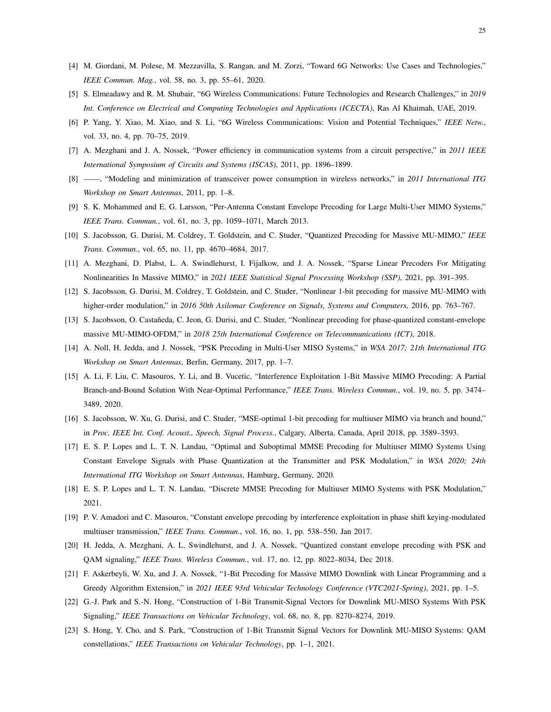- <span id="page-24-1"></span><span id="page-24-0"></span>[4] M. Giordani, M. Polese, M. Mezzavilla, S. Rangan, and M. Zorzi, "Toward 6G Networks: Use Cases and Technologies," *IEEE Commun. Mag.*, vol. 58, no. 3, pp. 55–61, 2020.
- <span id="page-24-2"></span>[5] S. Elmeadawy and R. M. Shubair, "6G Wireless Communications: Future Technologies and Research Challenges," in *2019 Int. Conference on Electrical and Computing Technologies and Applications (ICECTA)*, Ras Al Khaimah, UAE, 2019.
- <span id="page-24-3"></span>[6] P. Yang, Y. Xiao, M. Xiao, and S. Li, "6G Wireless Communications: Vision and Potential Techniques," *IEEE Netw.*, vol. 33, no. 4, pp. 70–75, 2019.
- <span id="page-24-4"></span>[7] A. Mezghani and J. A. Nossek, "Power efficiency in communication systems from a circuit perspective," in *2011 IEEE International Symposium of Circuits and Systems (ISCAS)*, 2011, pp. 1896–1899.
- <span id="page-24-5"></span>[8] ——, "Modeling and minimization of transceiver power consumption in wireless networks," in *2011 International ITG Workshop on Smart Antennas*, 2011, pp. 1–8.
- <span id="page-24-6"></span>[9] S. K. Mohammed and E. G. Larsson, "Per-Antenna Constant Envelope Precoding for Large Multi-User MIMO Systems," *IEEE Trans. Commun.*, vol. 61, no. 3, pp. 1059–1071, March 2013.
- <span id="page-24-7"></span>[10] S. Jacobsson, G. Durisi, M. Coldrey, T. Goldstein, and C. Studer, "Quantized Precoding for Massive MU-MIMO," *IEEE Trans. Commun.*, vol. 65, no. 11, pp. 4670–4684, 2017.
- <span id="page-24-8"></span>[11] A. Mezghani, D. Plabst, L. A. Swindlehurst, I. Fijalkow, and J. A. Nossek, "Sparse Linear Precoders For Mitigating Nonlinearities In Massive MIMO," in *2021 IEEE Statistical Signal Processing Workshop (SSP)*, 2021, pp. 391–395.
- <span id="page-24-9"></span>[12] S. Jacobsson, G. Durisi, M. Coldrey, T. Goldstein, and C. Studer, "Nonlinear 1-bit precoding for massive MU-MIMO with higher-order modulation," in *2016 50th Asilomar Conference on Signals, Systems and Computers*, 2016, pp. 763–767.
- <span id="page-24-10"></span>[13] S. Jacobsson, O. Castañeda, C. Jeon, G. Durisi, and C. Studer, "Nonlinear precoding for phase-quantized constant-envelope massive MU-MIMO-OFDM," in *2018 25th International Conference on Telecommunications (ICT)*, 2018.
- <span id="page-24-11"></span>[14] A. Noll, H. Jedda, and J. Nossek, "PSK Precoding in Multi-User MISO Systems," in *WSA 2017; 21th International ITG Workshop on Smart Antennas*, Berlin, Germany, 2017, pp. 1–7.
- [15] A. Li, F. Liu, C. Masouros, Y. Li, and B. Vucetic, "Interference Exploitation 1-Bit Massive MIMO Precoding: A Partial Branch-and-Bound Solution With Near-Optimal Performance," *IEEE Trans. Wireless Commun.*, vol. 19, no. 5, pp. 3474– 3489, 2020.
- <span id="page-24-13"></span><span id="page-24-12"></span>[16] S. Jacobsson, W. Xu, G. Durisi, and C. Studer, "MSE-optimal 1-bit precoding for multiuser MIMO via branch and bound," in *Proc. IEEE Int. Conf. Acoust., Speech, Signal Process.*, Calgary, Alberta, Canada, April 2018, pp. 3589–3593.
- [17] E. S. P. Lopes and L. T. N. Landau, "Optimal and Suboptimal MMSE Precoding for Multiuser MIMO Systems Using Constant Envelope Signals with Phase Quantization at the Transmitter and PSK Modulation," in *WSA 2020; 24th International ITG Workshop on Smart Antennas*, Hamburg, Germany, 2020.
- <span id="page-24-15"></span><span id="page-24-14"></span>[18] E. S. P. Lopes and L. T. N. Landau, "Discrete MMSE Precoding for Multiuser MIMO Systems with PSK Modulation," 2021.
- <span id="page-24-16"></span>[19] P. V. Amadori and C. Masouros, "Constant envelope precoding by interference exploitation in phase shift keying-modulated multiuser transmission," *IEEE Trans. Commun.*, vol. 16, no. 1, pp. 538–550, Jan 2017.
- <span id="page-24-17"></span>[20] H. Jedda, A. Mezghani, A. L. Swindlehurst, and J. A. Nossek, "Quantized constant envelope precoding with PSK and QAM signaling," *IEEE Trans. Wireless Commun.*, vol. 17, no. 12, pp. 8022–8034, Dec 2018.
- <span id="page-24-18"></span>[21] F. Askerbeyli, W. Xu, and J. A. Nossek, "1-Bit Precoding for Massive MIMO Downlink with Linear Programming and a Greedy Algorithm Extension," in *2021 IEEE 93rd Vehicular Technology Conference (VTC2021-Spring)*, 2021, pp. 1–5.
- <span id="page-24-19"></span>[22] G.-J. Park and S.-N. Hong, "Construction of 1-Bit Transmit-Signal Vectors for Downlink MU-MISO Systems With PSK Signaling," *IEEE Transactions on Vehicular Technology*, vol. 68, no. 8, pp. 8270–8274, 2019.
- [23] S. Hong, Y. Cho, and S. Park, "Construction of 1-Bit Transmit Signal Vectors for Downlink MU-MISO Systems: QAM constellations," *IEEE Transactions on Vehicular Technology*, pp. 1–1, 2021.